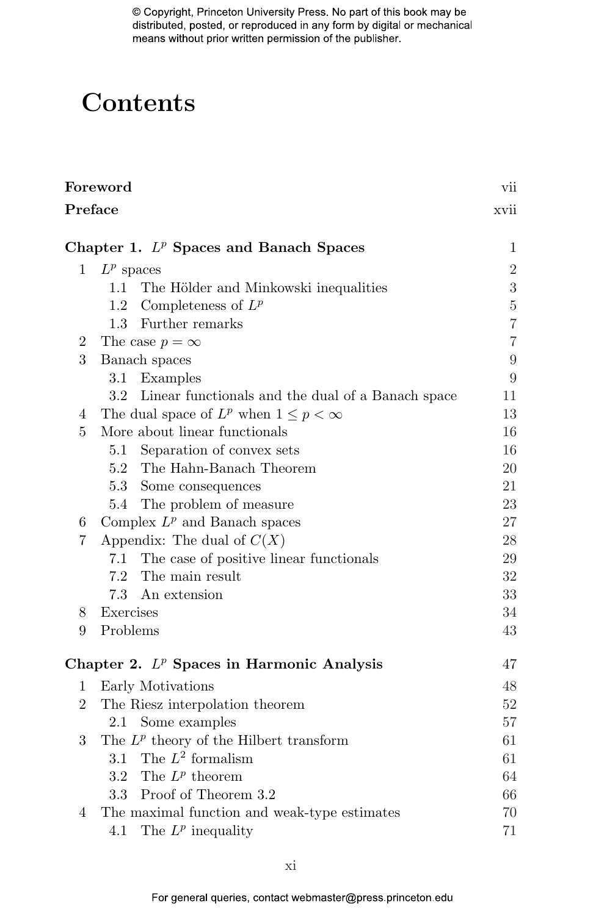# **Contents**

| Foreword       |                                                                       |                  |  |
|----------------|-----------------------------------------------------------------------|------------------|--|
| Preface        |                                                                       |                  |  |
|                | Chapter 1. $L^p$ Spaces and Banach Spaces                             | $\mathbf 1$      |  |
| $\mathbf{1}$   | $L^p$ spaces                                                          | $\overline{2}$   |  |
|                | The Hölder and Minkowski inequalities<br>1.1                          | $\overline{3}$   |  |
|                | Completeness of $L^p$<br>$1.2\,$                                      | $\rm 5$          |  |
|                | Further remarks<br>1.3                                                | $\overline{7}$   |  |
| 2              | The case $p = \infty$                                                 | $\overline{7}$   |  |
| 3              | Banach spaces                                                         | $\boldsymbol{9}$ |  |
|                | $3.1\,$<br>Examples                                                   | 9                |  |
|                | 3.2 <sub>1</sub><br>Linear functionals and the dual of a Banach space | 11               |  |
| 4              | The dual space of $L^p$ when $1 \leq p < \infty$                      | 13               |  |
| 5              | More about linear functionals                                         | 16               |  |
|                | Separation of convex sets<br>5.1                                      | 16               |  |
|                | 5.2 The Hahn-Banach Theorem                                           | 20               |  |
|                | 5.3 Some consequences                                                 | 21               |  |
|                | 5.4 The problem of measure                                            | 23               |  |
| 6              | Complex $L^p$ and Banach spaces                                       | 27               |  |
| 7              | Appendix: The dual of $C(X)$                                          | 28               |  |
|                | 7.1 The case of positive linear functionals                           | 29               |  |
|                | 7.2 The main result                                                   | 32               |  |
|                | 7.3<br>An extension                                                   | 33               |  |
| 8              | Exercises                                                             | 34               |  |
| 9              | Problems                                                              | 43               |  |
|                | Chapter 2. $L^p$ Spaces in Harmonic Analysis                          | 47               |  |
| 1              | Early Motivations                                                     | 48               |  |
| $\overline{2}$ | The Riesz interpolation theorem                                       | 52               |  |
|                | Some examples<br>2.1                                                  | 57               |  |
| 3              | The $L^p$ theory of the Hilbert transform                             | 61               |  |
|                | 3.1 The $L^2$ formalism                                               | 61               |  |
|                | 3.2 The $L^p$ theorem                                                 | 64               |  |
|                | 3.3 Proof of Theorem 3.2                                              | 66               |  |
| 4              | The maximal function and weak-type estimates                          | 70               |  |
|                | The $L^p$ inequality<br>4.1                                           | 71               |  |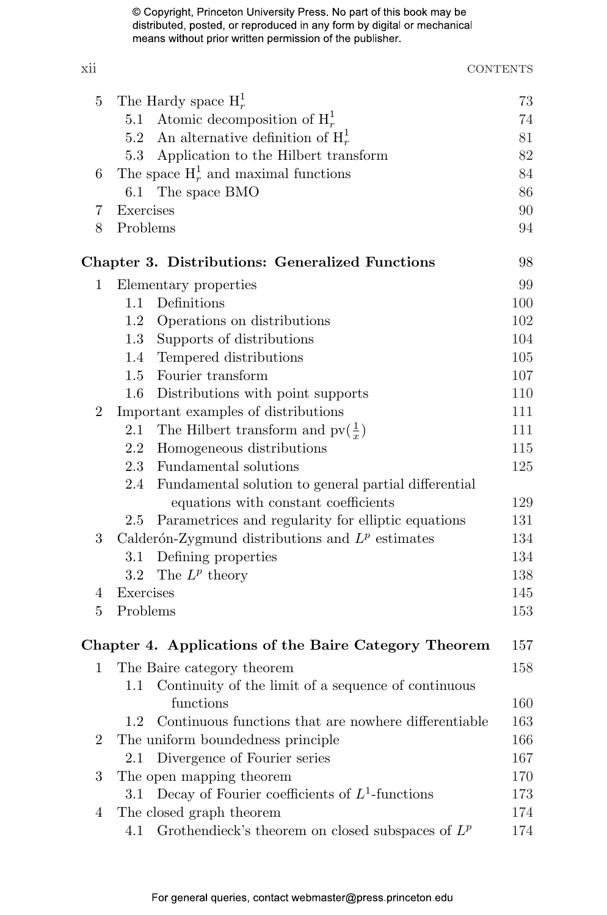#### xii CONTENTS

| 5              |           | The Hardy space $H_r^1$                                | 73  |
|----------------|-----------|--------------------------------------------------------|-----|
|                | 5.1       | Atomic decomposition of $H_r^1$                        | 74  |
|                |           | 5.2 An alternative definition of $H_r^1$               | 81  |
|                |           | 5.3 Application to the Hilbert transform               | 82  |
| 6              |           | The space $H_r^1$ and maximal functions                | 84  |
|                |           | 6.1 The space BMO                                      | 86  |
| 7              | Exercises |                                                        | 90  |
| 8              | Problems  |                                                        | 94  |
|                |           | <b>Chapter 3. Distributions: Generalized Functions</b> | 98  |
| 1              |           | Elementary properties                                  | 99  |
|                | 1.1       | Definitions                                            | 100 |
|                |           | 1.2 Operations on distributions                        | 102 |
|                | 1.3       | Supports of distributions                              | 104 |
|                | $1.4\,$   | Tempered distributions                                 | 105 |
|                | 1.5       | Fourier transform                                      | 107 |
|                | $1.6\,$   | Distributions with point supports                      | 110 |
| 2              |           | Important examples of distributions                    | 111 |
|                | 2.1       | The Hilbert transform and $\text{pv}(\frac{1}{r})$     | 111 |
|                |           | 2.2 Homogeneous distributions                          | 115 |
|                |           | 2.3 Fundamental solutions                              | 125 |
|                | 2.4       | Fundamental solution to general partial differential   |     |
|                |           | equations with constant coefficients                   | 129 |
|                | 2.5       | Parametrices and regularity for elliptic equations     | 131 |
| 3              |           | Calderón-Zygmund distributions and $L^p$ estimates     | 134 |
|                | 3.1       | Defining properties                                    | 134 |
|                | $3.2\,$   | The $L^p$ theory                                       | 138 |
| 4              | Exercises |                                                        | 145 |
| 5              | Problems  |                                                        | 153 |
|                |           | Chapter 4. Applications of the Baire Category Theorem  | 157 |
| 1              |           | The Baire category theorem                             | 158 |
|                | $1.1\,$   | Continuity of the limit of a sequence of continuous    |     |
|                |           | functions                                              | 160 |
|                | $1.2\,$   | Continuous functions that are nowhere differentiable   | 163 |
| $\overline{2}$ |           | The uniform boundedness principle                      | 166 |
|                | 2.1       | Divergence of Fourier series                           | 167 |
| 3              |           | The open mapping theorem                               | 170 |
|                | $3.1\,$   | Decay of Fourier coefficients of $L^1$ -functions      | 173 |
| 4              |           | The closed graph theorem                               | 174 |
|                | 4.1       | Grothendieck's theorem on closed subspaces of $L^p$    | 174 |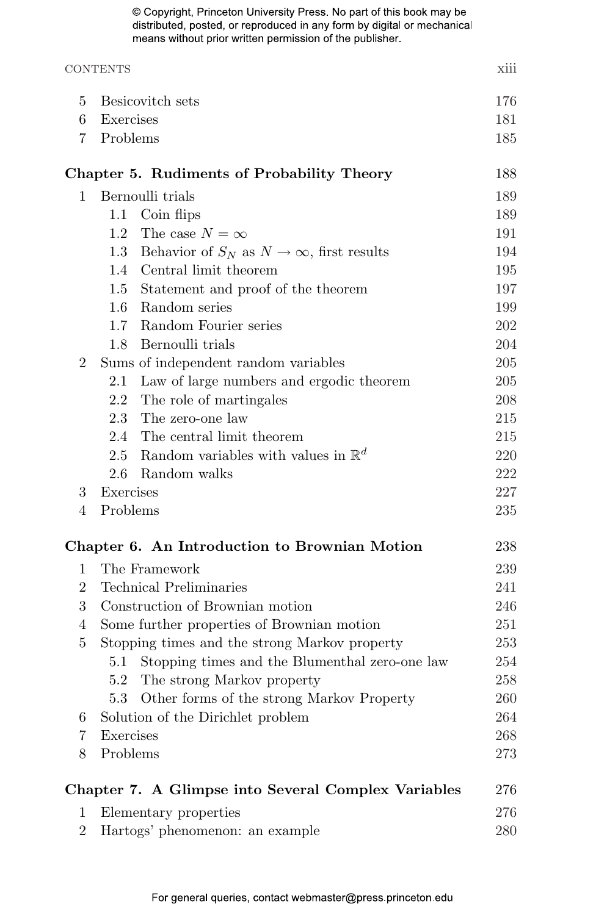## CONTENTS xiii 5 Besicovitch sets 176 6 Exercises 181 7 Problems 185 Chapter 5. Rudiments of Probability Theory 188 1 Bernoulli trials 189 1.1 Coin flips 189 1.2 The case  $N = \infty$  191 1.3 Behavior of  $S_N$  as  $N \to \infty$ , first results 194 1.4 Central limit theorem 195 1.5 Statement and proof of the theorem 197 1.6 Random series 199 1.7 Random Fourier series 202 1.8 Bernoulli trials 204 2 Sums of independent random variables 205 2.1 Law of large numbers and ergodic theorem 205 2.2 The role of martingales 208 2.3 The zero-one law 215 2.4 The central limit theorem 215 2.5 Random variables with values in  $\mathbb{R}^d$ 220 2.6 Random walks 222 3 Exercises 227 4 Problems 235 Chapter 6. An Introduction to Brownian Motion 238 1 The Framework 239 2 Technical Preliminaries 241 3 Construction of Brownian motion 246 4 Some further properties of Brownian motion 251 5 Stopping times and the strong Markov property 253 5.1 Stopping times and the Blumenthal zero-one law 254 5.2 The strong Markov property 258 5.3 Other forms of the strong Markov Property 260 6 Solution of the Dirichlet problem 264 7 Exercises 268 8 Problems 273 Chapter 7. A Glimpse into Several Complex Variables 276 1 Elementary properties 276 2 Hartogs' phenomenon: an example 280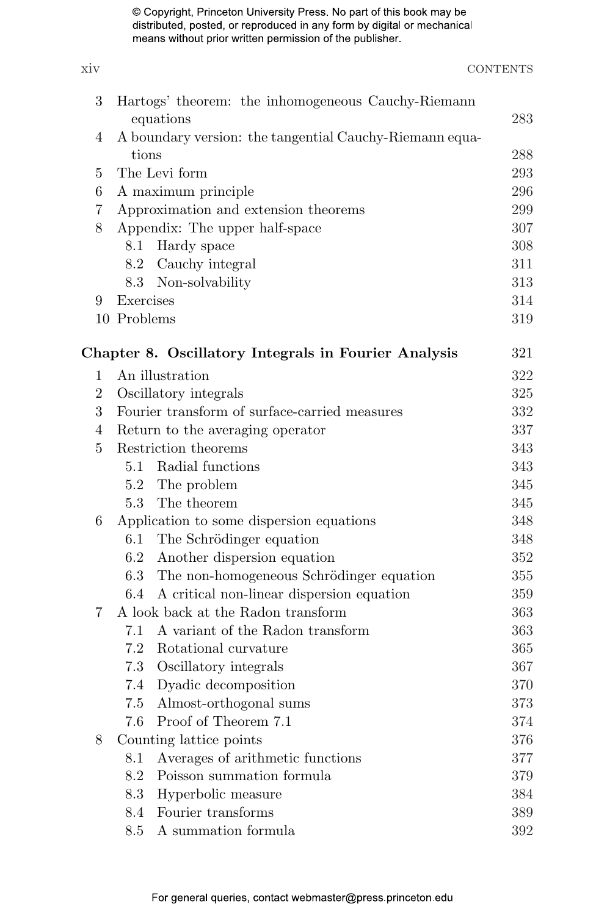### xiv CONTENTS 3 Hartogs' theorem: the inhomogeneous Cauchy-Riemann equations 283 4 A boundary version: the tangential Cauchy-Riemann equations 288 5 The Levi form 293 6 A maximum principle 296 7 Approximation and extension theorems 299 8 Appendix: The upper half-space 307 8.1 Hardy space 308 8.2 Cauchy integral 311 8.3 Non-solvability 313 9 Exercises 314 10 Problems 319 Chapter 8. Oscillatory Integrals in Fourier Analysis 321 1 An illustration 322 2 Oscillatory integrals 325 3 Fourier transform of surface-carried measures 332 4 Return to the averaging operator 337 5 Restriction theorems 343 5.1 Radial functions 343 5.2 The problem 345 5.3 The theorem 345 6 Application to some dispersion equations 348 6.1 The Schrödinger equation 348 6.2 Another dispersion equation 352 6.3 The non-homogeneous Schrödinger equation 355 6.4 A critical non-linear dispersion equation 359 7 A look back at the Radon transform 363 7.1 A variant of the Radon transform 363 7.2 Rotational curvature 365 7.3 Oscillatory integrals 367 7.4 Dyadic decomposition 370 7.5 Almost-orthogonal sums 373 7.6 Proof of Theorem 7.1 374 8 Counting lattice points 376 8.1 Averages of arithmetic functions 377 8.2 Poisson summation formula 379 8.3 Hyperbolic measure 384 8.4 Fourier transforms 389

8.5 A summation formula 392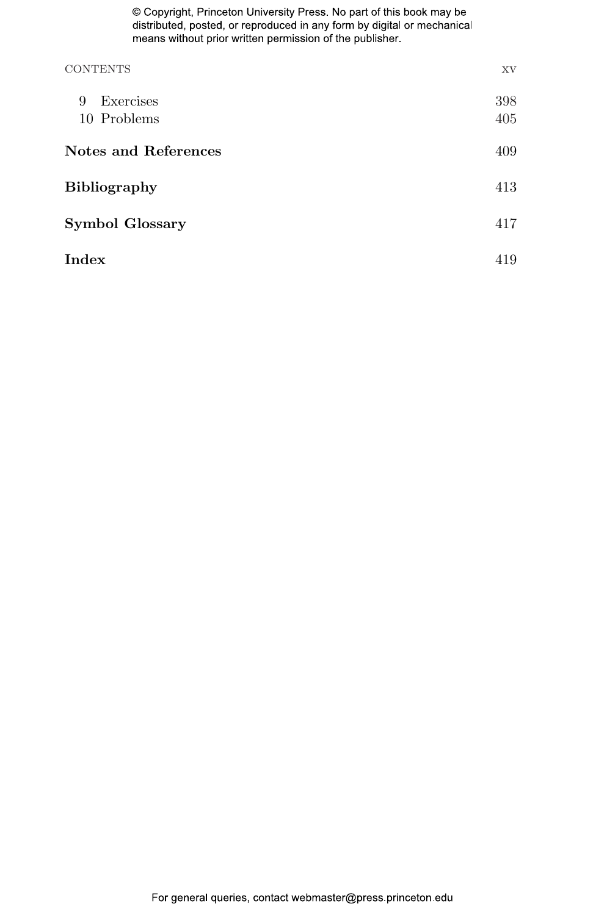| <b>CONTENTS</b>        | XV  |  |
|------------------------|-----|--|
| Exercises<br>9         | 398 |  |
| 10 Problems            | 405 |  |
| Notes and References   |     |  |
| <b>Bibliography</b>    | 413 |  |
| <b>Symbol Glossary</b> |     |  |
| Index                  | 419 |  |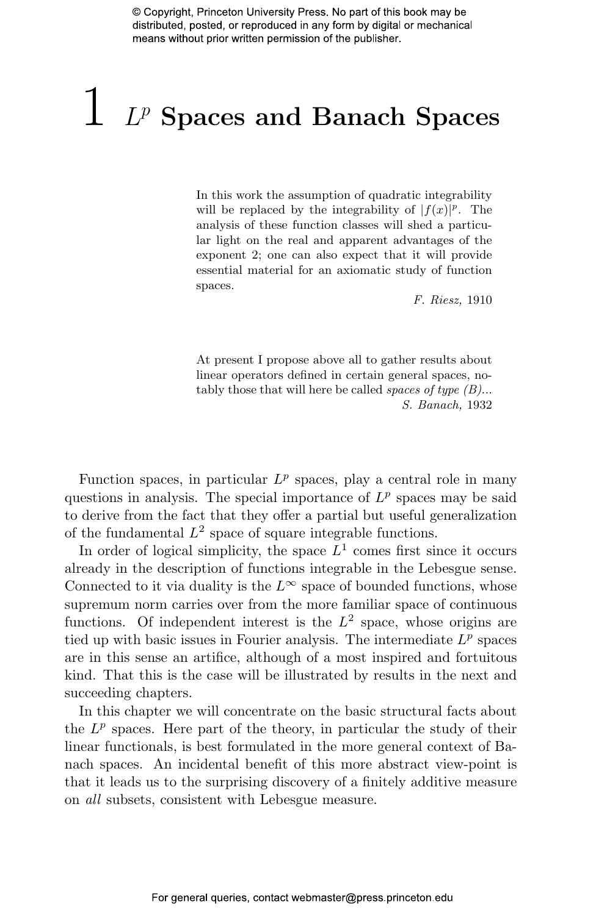# $1$   $L^p$  Spaces and Banach Spaces

In this work the assumption of quadratic integrability will be replaced by the integrability of  $|f(x)|^p$ . The analysis of these function classes will shed a particular light on the real and apparent advantages of the exponent 2; one can also expect that it will provide essential material for an axiomatic study of function spaces.

F. Riesz, 1910

At present I propose above all to gather results about linear operators defined in certain general spaces, notably those that will here be called *spaces of type*  $(B)$ ... S. Banach, 1932

Function spaces, in particular  $L^p$  spaces, play a central role in many questions in analysis. The special importance of  $L^p$  spaces may be said to derive from the fact that they offer a partial but useful generalization of the fundamental  $L^2$  space of square integrable functions.

In order of logical simplicity, the space  $L^1$  comes first since it occurs already in the description of functions integrable in the Lebesgue sense. Connected to it via duality is the  $L^{\infty}$  space of bounded functions, whose supremum norm carries over from the more familiar space of continuous functions. Of independent interest is the  $L^2$  space, whose origins are tied up with basic issues in Fourier analysis. The intermediate  $L^p$  spaces are in this sense an artifice, although of a most inspired and fortuitous kind. That this is the case will be illustrated by results in the next and succeeding chapters.

In this chapter we will concentrate on the basic structural facts about the  $L^p$  spaces. Here part of the theory, in particular the study of their linear functionals, is best formulated in the more general context of Banach spaces. An incidental benefit of this more abstract view-point is that it leads us to the surprising discovery of a finitely additive measure on all subsets, consistent with Lebesgue measure.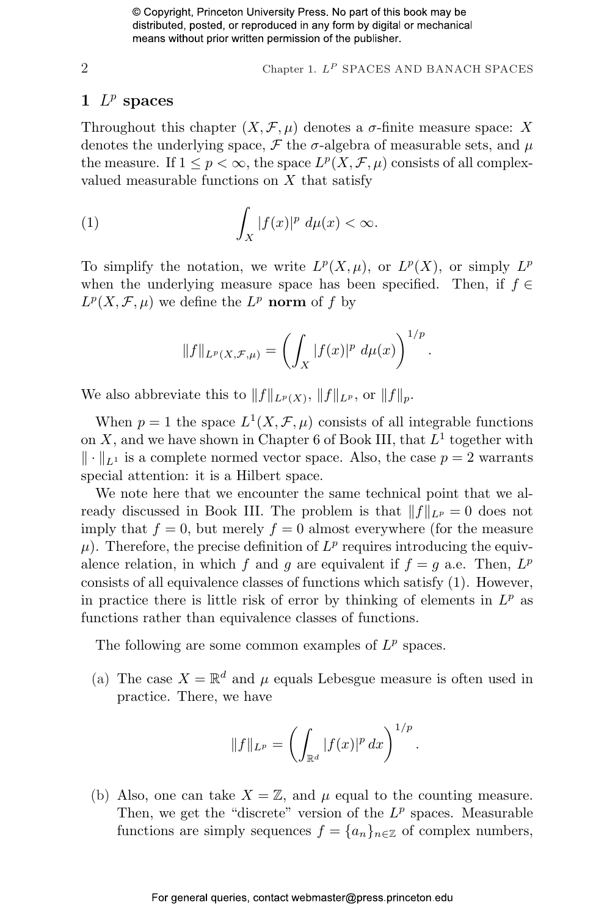$2$  Chapter 1.  $L^P$  SPACES AND BANACH SPACES

.

.

#### 1  $L^p$  spaces

Throughout this chapter  $(X, \mathcal{F}, \mu)$  denotes a  $\sigma$ -finite measure space: X denotes the underlying space,  $\mathcal F$  the  $\sigma$ -algebra of measurable sets, and  $\mu$ the measure. If  $1 \leq p < \infty$ , the space  $L^p(X, \mathcal{F}, \mu)$  consists of all complexvalued measurable functions on  $X$  that satisfy

(1) 
$$
\int_X |f(x)|^p d\mu(x) < \infty.
$$

To simplify the notation, we write  $L^p(X,\mu)$ , or  $L^p(X)$ , or simply  $L^p$ when the underlying measure space has been specified. Then, if  $f \in$  $L^p(X, \mathcal{F}, \mu)$  we define the  $L^p$  norm of f by

$$
||f||_{L^p(X,\mathcal{F},\mu)} = \left(\int_X |f(x)|^p \ d\mu(x)\right)^{1/p}
$$

We also abbreviate this to  $||f||_{L^p(X)}, ||f||_{L^p}$ , or  $||f||_p$ .

When  $p = 1$  the space  $L^1(X, \mathcal{F}, \mu)$  consists of all integrable functions on X, and we have shown in Chapter 6 of Book III, that  $L^1$  together with  $\|\cdot\|_{L^1}$  is a complete normed vector space. Also, the case  $p = 2$  warrants special attention: it is a Hilbert space.

We note here that we encounter the same technical point that we already discussed in Book III. The problem is that  $||f||_{L^p} = 0$  does not imply that  $f = 0$ , but merely  $f = 0$  almost everywhere (for the measure  $\mu$ ). Therefore, the precise definition of  $L^p$  requires introducing the equivalence relation, in which f and g are equivalent if  $f = g$  a.e. Then,  $L^p$ consists of all equivalence classes of functions which satisfy (1). However, in practice there is little risk of error by thinking of elements in  $L^p$  as functions rather than equivalence classes of functions.

The following are some common examples of  $L^p$  spaces.

(a) The case  $X = \mathbb{R}^d$  and  $\mu$  equals Lebesgue measure is often used in practice. There, we have

$$
||f||_{L^p} = \left(\int_{\mathbb{R}^d} |f(x)|^p \, dx\right)^{1/p}
$$

(b) Also, one can take  $X = \mathbb{Z}$ , and  $\mu$  equal to the counting measure. Then, we get the "discrete" version of the  $L^p$  spaces. Measurable functions are simply sequences  $f = \{a_n\}_{n \in \mathbb{Z}}$  of complex numbers,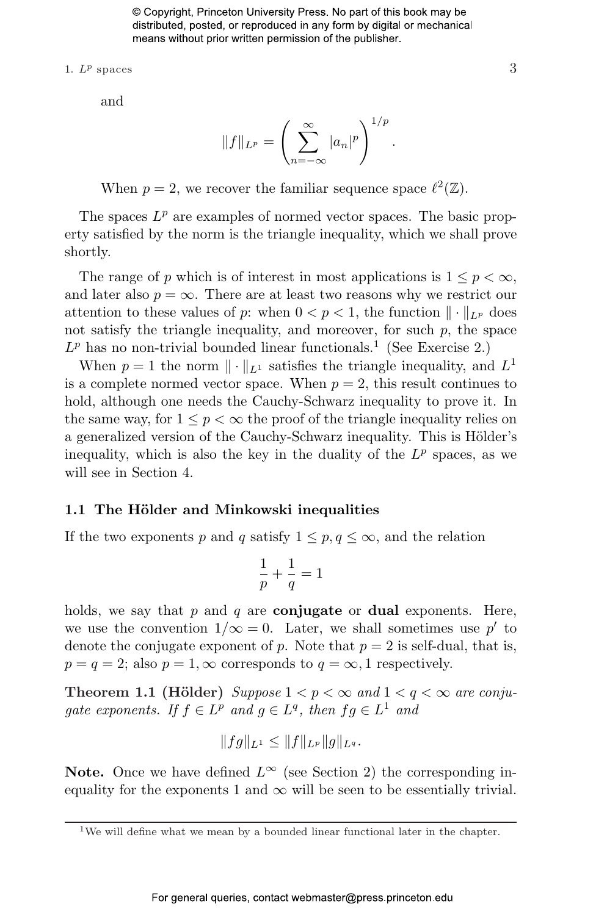1.  $L^p$  spaces 3

and

$$
||f||_{L^p} = \left(\sum_{n=-\infty}^{\infty} |a_n|^p\right)^{1/p}.
$$

When  $p = 2$ , we recover the familiar sequence space  $\ell^2(\mathbb{Z})$ .

The spaces  $L^p$  are examples of normed vector spaces. The basic property satisfied by the norm is the triangle inequality, which we shall prove shortly.

The range of p which is of interest in most applications is  $1 \leq p < \infty$ , and later also  $p = \infty$ . There are at least two reasons why we restrict our attention to these values of p: when  $0 < p < 1$ , the function  $\|\cdot\|_{L^p}$  does not satisfy the triangle inequality, and moreover, for such  $p$ , the space  $L^p$  has no non-trivial bounded linear functionals.<sup>1</sup> (See Exercise 2.)

When  $p = 1$  the norm  $\|\cdot\|_{L^1}$  satisfies the triangle inequality, and  $L^1$ is a complete normed vector space. When  $p = 2$ , this result continues to hold, although one needs the Cauchy-Schwarz inequality to prove it. In the same way, for  $1 \leq p \leq \infty$  the proof of the triangle inequality relies on a generalized version of the Cauchy-Schwarz inequality. This is Hölder's inequality, which is also the key in the duality of the  $L^p$  spaces, as we will see in Section 4.

#### 1.1 The Hölder and Minkowski inequalities

If the two exponents p and q satisfy  $1 \leq p, q \leq \infty$ , and the relation

$$
\frac{1}{p} + \frac{1}{q} = 1
$$

holds, we say that p and q are **conjugate** or **dual** exponents. Here, we use the convention  $1/\infty = 0$ . Later, we shall sometimes use p' to denote the conjugate exponent of p. Note that  $p = 2$  is self-dual, that is,  $p = q = 2$ ; also  $p = 1, \infty$  corresponds to  $q = \infty, 1$  respectively.

**Theorem 1.1 (Hölder)** Suppose  $1 < p < \infty$  and  $1 < q < \infty$  are conjugate exponents. If  $f \in L^p$  and  $g \in L^q$ , then  $fg \in L^1$  and

$$
||fg||_{L^1} \leq ||f||_{L^p} ||g||_{L^q}.
$$

**Note.** Once we have defined  $L^{\infty}$  (see Section 2) the corresponding inequality for the exponents 1 and  $\infty$  will be seen to be essentially trivial.

<sup>&</sup>lt;sup>1</sup>We will define what we mean by a bounded linear functional later in the chapter.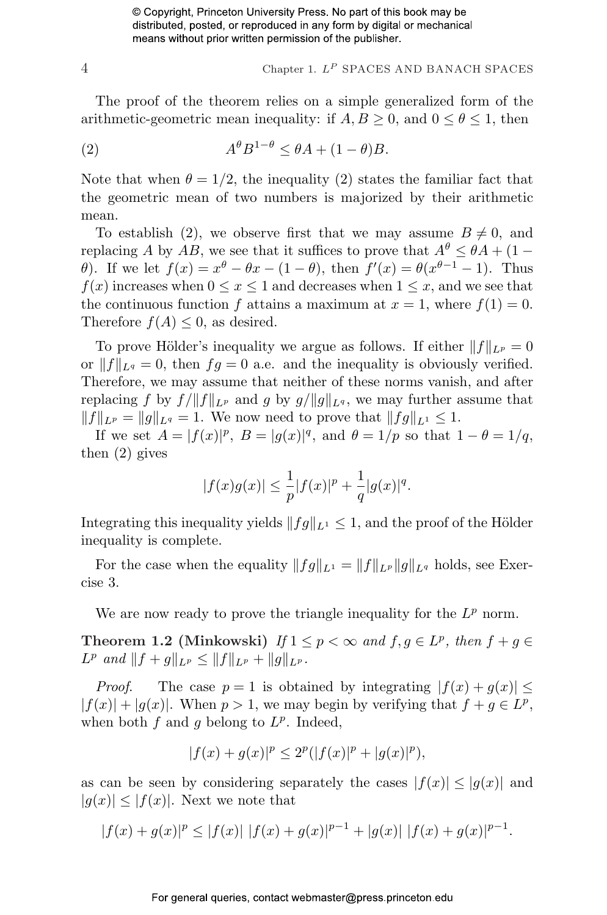$$
4
$$
 Chapter 1.  $L^P$  SPACES AND BANACH SPACES

The proof of the theorem relies on a simple generalized form of the arithmetic-geometric mean inequality: if  $A, B \geq 0$ , and  $0 \leq \theta \leq 1$ , then

(2) 
$$
A^{\theta} B^{1-\theta} \leq \theta A + (1-\theta)B.
$$

Note that when  $\theta = 1/2$ , the inequality (2) states the familiar fact that the geometric mean of two numbers is majorized by their arithmetic mean.

To establish (2), we observe first that we may assume  $B \neq 0$ , and replacing A by AB, we see that it suffices to prove that  $A^{\theta} \leq \theta A + (1 \theta$ ). If we let  $f(x) = x^{\theta} - \theta x - (1 - \theta)$ , then  $f'(x) = \theta(x^{\theta-1} - 1)$ . Thus  $f(x)$  increases when  $0 \le x \le 1$  and decreases when  $1 \le x$ , and we see that the continuous function f attains a maximum at  $x = 1$ , where  $f(1) = 0$ . Therefore  $f(A) \leq 0$ , as desired.

To prove Hölder's inequality we argue as follows. If either  $||f||_{L^p} = 0$ or  $||f||_{L^q} = 0$ , then  $fg = 0$  a.e. and the inequality is obviously verified. Therefore, we may assume that neither of these norms vanish, and after replacing f by  $f / ||f||_{L^p}$  and g by  $g / ||g||_{L^q}$ , we may further assume that  $||f||_{L^p} = ||g||_{L^q} = 1.$  We now need to prove that  $||fg||_{L^1} \leq 1.$ 

If we set  $A = |f(x)|^p$ ,  $B = |g(x)|^q$ , and  $\theta = 1/p$  so that  $1 - \theta = 1/q$ , then (2) gives

$$
|f(x)g(x)| \le \frac{1}{p}|f(x)|^p + \frac{1}{q}|g(x)|^q.
$$

Integrating this inequality yields  $||fg||_{L^1} \leq 1$ , and the proof of the Hölder inequality is complete.

For the case when the equality  $||fg||_{L^1} = ||f||_{L^p} ||g||_{L^q}$  holds, see Exercise 3.

We are now ready to prove the triangle inequality for the  $L^p$  norm.

Theorem 1.2 (Minkowski) If  $1 \leq p < \infty$  and  $f, g \in L^p$ , then  $f + g \in L^p$  $L^p$  and  $||f + g||_{L^p} \leq ||f||_{L^p} + ||g||_{L^p}$ .

*Proof.* The case  $p = 1$  is obtained by integrating  $|f(x) + g(x)| \le$  $|f(x)| + |g(x)|$ . When  $p > 1$ , we may begin by verifying that  $f + g \in L^p$ , when both  $f$  and  $g$  belong to  $L^p$ . Indeed,

$$
|f(x) + g(x)|^p \le 2^p(|f(x)|^p + |g(x)|^p),
$$

as can be seen by considering separately the cases  $|f(x)| \leq |g(x)|$  and  $|g(x)| \leq |f(x)|$ . Next we note that

$$
|f(x) + g(x)|^p \le |f(x)| |f(x) + g(x)|^{p-1} + |g(x)| |f(x) + g(x)|^{p-1}.
$$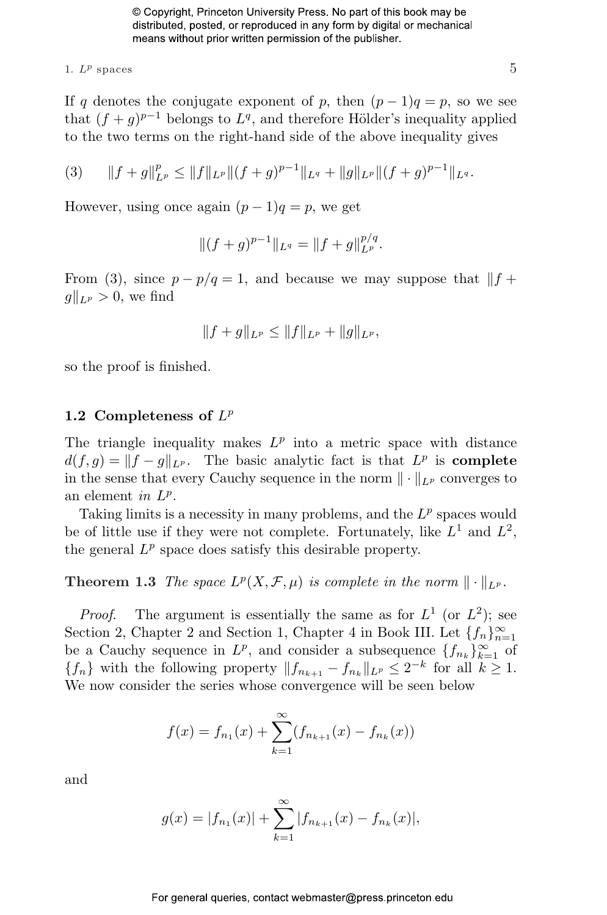1.  $L^p$  spaces 5

If q denotes the conjugate exponent of p, then  $(p-1)q = p$ , so we see that  $(f+g)^{p-1}$  belongs to  $L^q$ , and therefore Hölder's inequality applied to the two terms on the right-hand side of the above inequality gives

(3) 
$$
||f+g||_{L^p}^p \leq ||f||_{L^p} ||(f+g)^{p-1}||_{L^q} + ||g||_{L^p} ||(f+g)^{p-1}||_{L^q}.
$$

However, using once again  $(p-1)q = p$ , we get

$$
||(f+g)^{p-1}||_{L^q} = ||f+g||_{L^p}^{p/q}.
$$

From (3), since  $p - p/q = 1$ , and because we may suppose that  $|| f +$  $g\|_{L^p} > 0$ , we find

$$
||f+g||_{L^p} \leq ||f||_{L^p} + ||g||_{L^p},
$$

so the proof is finished.

#### 1.2 Completeness of  $L^p$

The triangle inequality makes  $L^p$  into a metric space with distance  $d(f,g) = ||f - g||_{L^p}$ . The basic analytic fact is that  $L^p$  is **complete** in the sense that every Cauchy sequence in the norm  $\|\cdot\|_{L^p}$  converges to an element in  $L^p$ .

Taking limits is a necessity in many problems, and the  $L^p$  spaces would be of little use if they were not complete. Fortunately, like  $L^1$  and  $L^2$ , the general  $L^p$  space does satisfy this desirable property.

**Theorem 1.3** The space  $L^p(X, \mathcal{F}, \mu)$  is complete in the norm  $\|\cdot\|_{L^p}$ .

*Proof.* The argument is essentially the same as for  $L^1$  (or  $L^2$ ); see Section 2, Chapter 2 and Section 1, Chapter 4 in Book III. Let  ${f_n}_{n=1}^{\infty}$ be a Cauchy sequence in  $L^p$ , and consider a subsequence  $\{f_{n_k}\}_{k=1}^\infty$  of  ${f_n}$  with the following property  $||f_{n_{k+1}} - f_{n_k}||_{L^p} \leq 2^{-k}$  for all  $k \geq 1$ . We now consider the series whose convergence will be seen below

$$
f(x) = f_{n_1}(x) + \sum_{k=1}^{\infty} (f_{n_{k+1}}(x) - f_{n_k}(x))
$$

and

$$
g(x) = |f_{n_1}(x)| + \sum_{k=1}^{\infty} |f_{n_{k+1}}(x) - f_{n_k}(x)|,
$$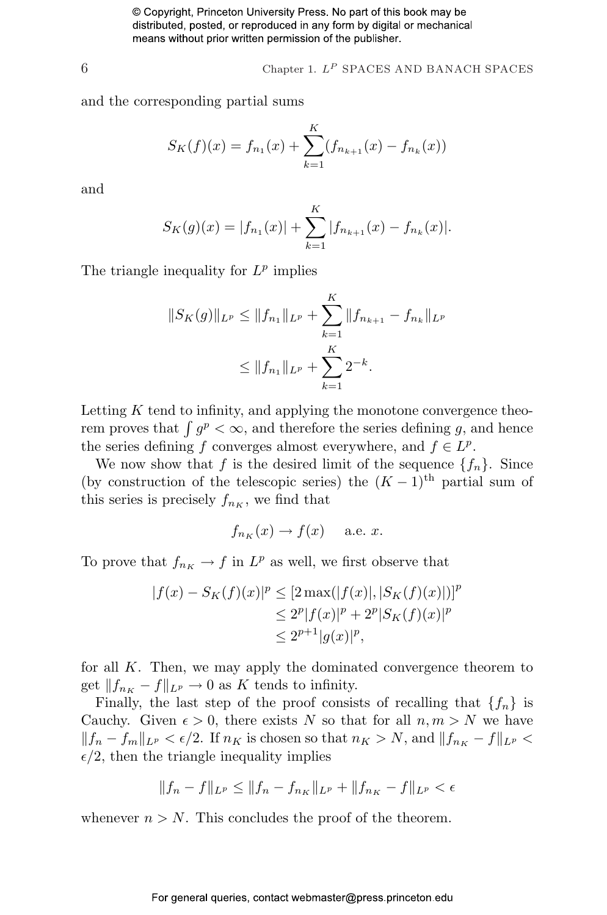$6$  Chapter 1.  $L^P$  SPACES AND BANACH SPACES

and the corresponding partial sums

$$
S_K(f)(x) = f_{n_1}(x) + \sum_{k=1}^K (f_{n_{k+1}}(x) - f_{n_k}(x))
$$

and

$$
S_K(g)(x) = |f_{n_1}(x)| + \sum_{k=1}^K |f_{n_{k+1}}(x) - f_{n_k}(x)|.
$$

The triangle inequality for  $L^p$  implies

$$
||S_K(g)||_{L^p} \le ||f_{n_1}||_{L^p} + \sum_{k=1}^K ||f_{n_{k+1}} - f_{n_k}||_{L^p}
$$
  

$$
\le ||f_{n_1}||_{L^p} + \sum_{k=1}^K 2^{-k}.
$$

Letting  $K$  tend to infinity, and applying the monotone convergence theo-Letting A tend to infinity, and applying the monotone convergence theorem proves that  $\int g^p < \infty$ , and therefore the series defining g, and hence the series defining f converges almost everywhere, and  $f \in L^p$ .

We now show that f is the desired limit of the sequence  $\{f_n\}$ . Since (by construction of the telescopic series) the  $(K-1)$ <sup>th</sup> partial sum of this series is precisely  $f_{n_K}$ , we find that

$$
f_{n_K}(x) \to f(x)
$$
 a.e. x.

To prove that  $f_{n_K} \to f$  in  $L^p$  as well, we first observe that

$$
|f(x) - S_K(f)(x)|^p \le [2 \max(|f(x)|, |S_K(f)(x)|)]^p
$$
  
\n
$$
\le 2^p |f(x)|^p + 2^p |S_K(f)(x)|^p
$$
  
\n
$$
\le 2^{p+1} |g(x)|^p,
$$

for all  $K$ . Then, we may apply the dominated convergence theorem to get  $||f_{n_K} - f||_{L^p} \to 0$  as K tends to infinity.

Finally, the last step of the proof consists of recalling that  $\{f_n\}$  is Cauchy. Given  $\epsilon > 0$ , there exists N so that for all  $n, m > N$  we have  $||f_n - f_m||_{L^p} < \epsilon/2$ . If  $n_K$  is chosen so that  $n_K > N$ , and  $||f_{n_K} - f||_{L^p} <$  $\epsilon/2$ , then the triangle inequality implies

$$
||f_n - f||_{L^p} \le ||f_n - f_{n_K}||_{L^p} + ||f_{n_K} - f||_{L^p} < \epsilon
$$

whenever  $n > N$ . This concludes the proof of the theorem.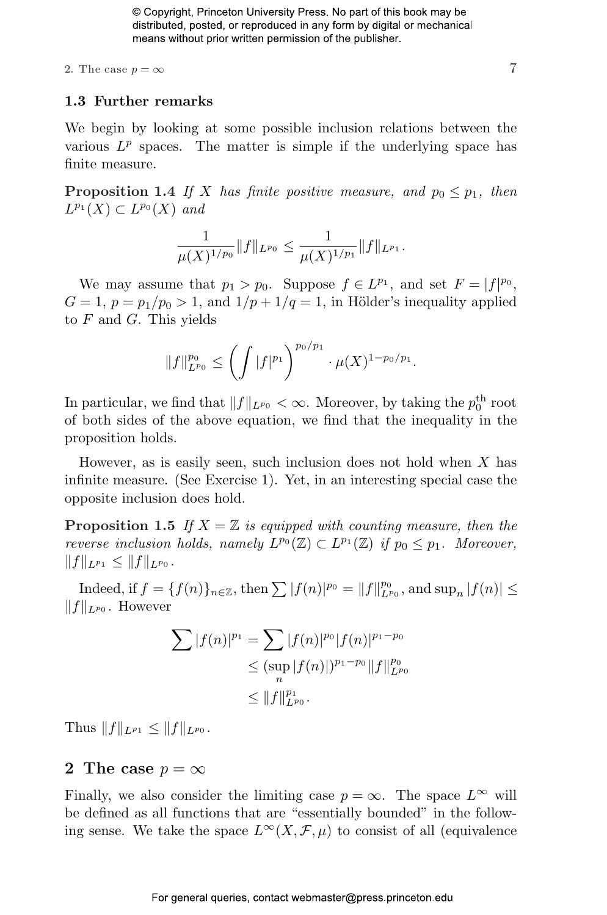2. The case  $p = \infty$  7

#### 1.3 Further remarks

We begin by looking at some possible inclusion relations between the various  $L^p$  spaces. The matter is simple if the underlying space has finite measure.

**Proposition 1.4** If X has finite positive measure, and  $p_0 \leq p_1$ , then  $L^{p_1}(X) \subset L^{p_0}(X)$  and

$$
\frac{1}{\mu(X)^{1/p_0}} \|f\|_{L^{p_0}} \leq \frac{1}{\mu(X)^{1/p_1}} \|f\|_{L^{p_1}}.
$$

We may assume that  $p_1 > p_0$ . Suppose  $f \in L^{p_1}$ , and set  $F = |f|^{p_0}$ ,  $G = 1$ ,  $p = p_1/p_0 > 1$ , and  $1/p + 1/q = 1$ , in Hölder's inequality applied to  $F$  and  $G$ . This yields

$$
||f||_{L^{p_0}}^{p_0} \le \left(\int |f|^{p_1}\right)^{p_0/p_1} \cdot \mu(X)^{1-p_0/p_1}.
$$

In particular, we find that  $||f||_{L^{p_0}} < \infty$ . Moreover, by taking the  $p_0^{\text{th}}$  root of both sides of the above equation, we find that the inequality in the proposition holds.

However, as is easily seen, such inclusion does not hold when  $X$  has infinite measure. (See Exercise 1). Yet, in an interesting special case the opposite inclusion does hold.

**Proposition 1.5** If  $X = \mathbb{Z}$  is equipped with counting measure, then the reverse inclusion holds, namely  $L^{p_0}(\mathbb{Z}) \subset L^{p_1}(\mathbb{Z})$  if  $p_0 \leq p_1$ . Moreover,  $||f||_{L^{p_1}} \leq ||f||_{L^{p_0}}.$ 

Indeed, if  $f = \{f(n)\}_{n \in \mathbb{Z}}$ , then  $\sum |f(n)|^{p_0} = ||f||_{L^{p_0}}^{p_0}$ , and  $\sup_n |f(n)| \le$  $||f||_{L^{p_0}}$ . However

$$
\sum |f(n)|^{p_1} = \sum |f(n)|^{p_0} |f(n)|^{p_1-p_0}
$$
  
\n
$$
\leq (\sup_n |f(n)|)^{p_1-p_0} \|f\|_{L^{p_0}}^{p_0}
$$
  
\n
$$
\leq \|f\|_{L^{p_0}}^{p_1}.
$$

Thus  $||f||_{L^{p_1}} \leq ||f||_{L^{p_0}}$ .

#### 2 The case  $p = \infty$

Finally, we also consider the limiting case  $p = \infty$ . The space  $L^{\infty}$  will be defined as all functions that are "essentially bounded" in the following sense. We take the space  $L^{\infty}(X,\mathcal{F},\mu)$  to consist of all (equivalence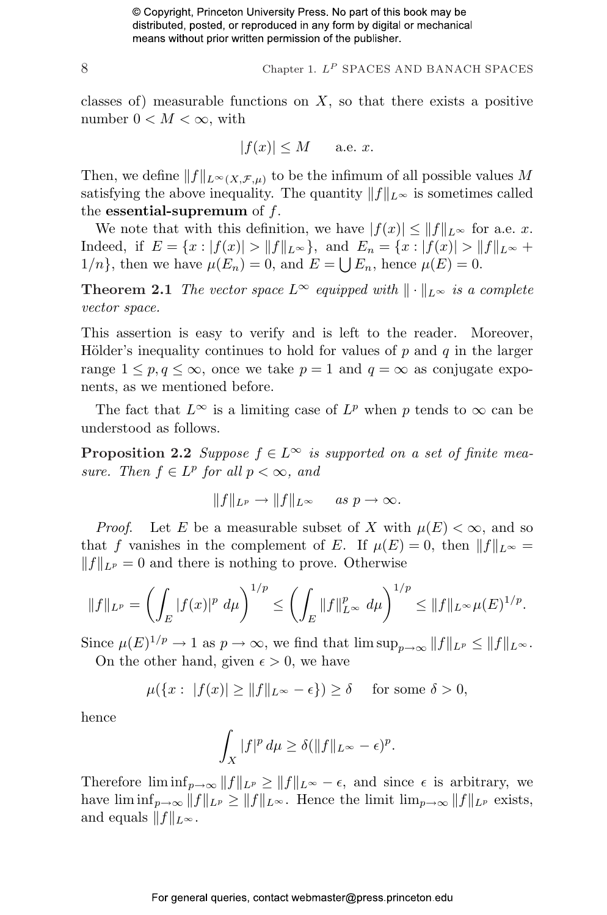8 Chapter 1.  $L^P$  SPACES AND BANACH SPACES

classes of) measurable functions on  $X$ , so that there exists a positive number  $0 < M < \infty$ , with

$$
|f(x)| \le M \quad \text{a.e. } x.
$$

Then, we define  $||f||_{L^{\infty}(X,\mathcal{F},\mu)}$  to be the infimum of all possible values M satisfying the above inequality. The quantity  $||f||_{L^{\infty}}$  is sometimes called the essential-supremum of  $f$ .

We note that with this definition, we have  $|f(x)| \leq ||f||_{L^{\infty}}$  for a.e. x. Indeed, if  $E = \{x : |f(x)| > ||f||_{L^{\infty}}\}$ , and  $E_n = \{x : |f(x)| > ||f||_{L^{\infty}} +$  $1/n$ , then we have  $\mu(E_n) = 0$ , and  $E = \bigcup E_n$ , hence  $\mu(E) = 0$ .

**Theorem 2.1** The vector space  $L^{\infty}$  equipped with  $\|\cdot\|_{L^{\infty}}$  is a complete vector space.

This assertion is easy to verify and is left to the reader. Moreover, Hölder's inequality continues to hold for values of  $p$  and  $q$  in the larger range  $1 \leq p, q \leq \infty$ , once we take  $p = 1$  and  $q = \infty$  as conjugate exponents, as we mentioned before.

The fact that  $L^{\infty}$  is a limiting case of  $L^p$  when p tends to  $\infty$  can be understood as follows.

**Proposition 2.2** Suppose  $f \in L^{\infty}$  is supported on a set of finite measure. Then  $f \in L^p$  for all  $p < \infty$ , and

$$
||f||_{L^p} \to ||f||_{L^{\infty}} \quad \text{as } p \to \infty.
$$

*Proof.* Let E be a measurable subset of X with  $\mu(E) < \infty$ , and so that f vanishes in the complement of E. If  $\mu(E) = 0$ , then  $||f||_{L^{\infty}} =$  $||f||_{L^p} = 0$  and there is nothing to prove. Otherwise

$$
||f||_{L^p} = \left(\int_E |f(x)|^p \ d\mu\right)^{1/p} \le \left(\int_E ||f||_{L^{\infty}}^p \ d\mu\right)^{1/p} \le ||f||_{L^{\infty}} \mu(E)^{1/p}.
$$

Since  $\mu(E)^{1/p} \to 1$  as  $p \to \infty$ , we find that  $\limsup_{p \to \infty} ||f||_{L^p} \le ||f||_{L^{\infty}}$ . On the other hand, given  $\epsilon > 0$ , we have

$$
\mu({x: |f(x)| \ge ||f||_{L^{\infty}} - \epsilon}) \ge \delta \quad \text{ for some } \delta > 0,
$$

hence

$$
\int_X |f|^p \, d\mu \ge \delta(\|f\|_{L^\infty} - \epsilon)^p.
$$

Therefore  $\liminf_{p\to\infty} ||f||_{L^p} \ge ||f||_{L^{\infty}} - \epsilon$ , and since  $\epsilon$  is arbitrary, we have  $\liminf_{p\to\infty} ||f||_{L^p} \ge ||f||_{L^{\infty}}$ . Hence the limit  $\lim_{p\to\infty} ||f||_{L^p}$  exists, and equals  $||f||_{L^{\infty}}$ .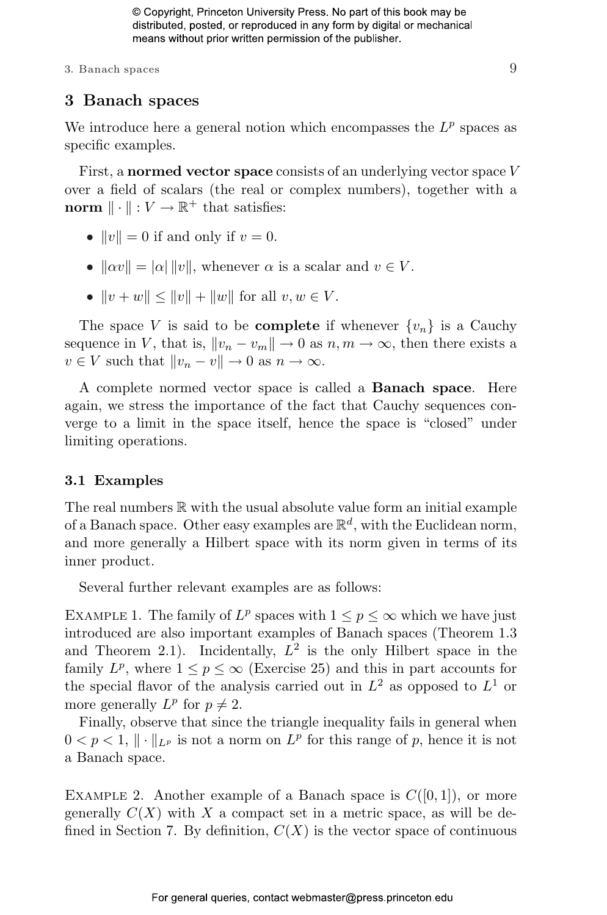3. Banach spaces  $\overline{9}$ 

#### 3 Banach spaces

We introduce here a general notion which encompasses the  $L^p$  spaces as specific examples.

First, a normed vector space consists of an underlying vector space V over a field of scalars (the real or complex numbers), together with a norm  $\|\cdot\| : V \to \mathbb{R}^+$  that satisfies:

- $||v|| = 0$  if and only if  $v = 0$ .
- $\|\alpha v\| = |\alpha| \|v\|$ , whenever  $\alpha$  is a scalar and  $v \in V$ .
- $||v + w|| \le ||v|| + ||w||$  for all  $v, w \in V$ .

The space V is said to be **complete** if whenever  $\{v_n\}$  is a Cauchy sequence in V, that is,  $||v_n - v_m|| \to 0$  as  $n, m \to \infty$ , then there exists a  $v \in V$  such that  $||v_n - v|| \to 0$  as  $n \to \infty$ .

A complete normed vector space is called a Banach space. Here again, we stress the importance of the fact that Cauchy sequences converge to a limit in the space itself, hence the space is "closed" under limiting operations.

#### 3.1 Examples

The real numbers R with the usual absolute value form an initial example of a Banach space. Other easy examples are  $\mathbb{R}^d$ , with the Euclidean norm, and more generally a Hilbert space with its norm given in terms of its inner product.

Several further relevant examples are as follows:

EXAMPLE 1. The family of  $L^p$  spaces with  $1 \leq p \leq \infty$  which we have just introduced are also important examples of Banach spaces (Theorem 1.3 and Theorem 2.1). Incidentally,  $L^2$  is the only Hilbert space in the family  $L^p$ , where  $1 \leq p \leq \infty$  (Exercise 25) and this in part accounts for the special flavor of the analysis carried out in  $L^2$  as opposed to  $L^1$  or more generally  $L^p$  for  $p \neq 2$ .

Finally, observe that since the triangle inequality fails in general when  $0 < p < 1, \| \cdot \|_{L^p}$  is not a norm on  $L^p$  for this range of p, hence it is not a Banach space.

EXAMPLE 2. Another example of a Banach space is  $C([0, 1])$ , or more generally  $C(X)$  with X a compact set in a metric space, as will be defined in Section 7. By definition,  $C(X)$  is the vector space of continuous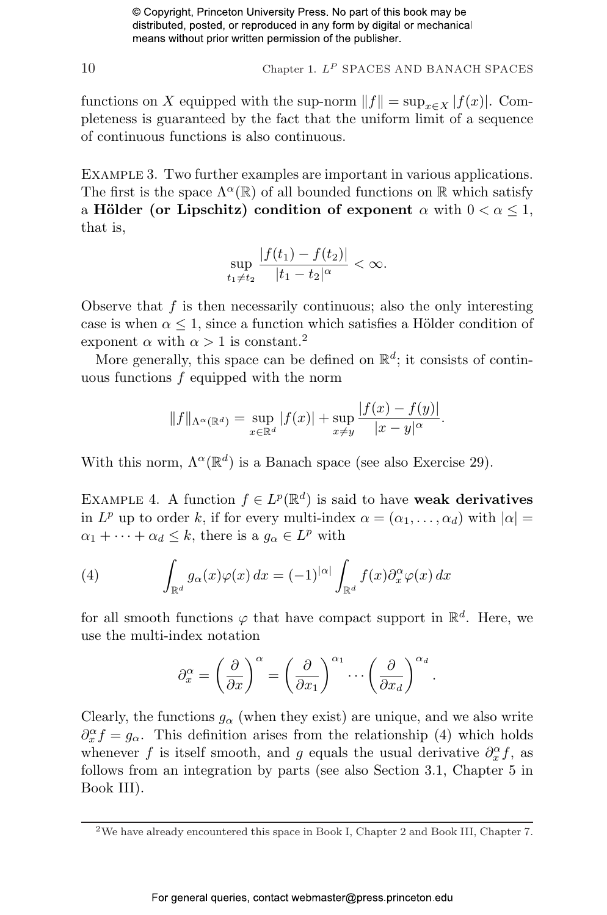10 Chapter 1.  $L^P$  SPACES AND BANACH SPACES

functions on X equipped with the sup-norm  $||f|| = \sup_{x \in X} |f(x)|$ . Completeness is guaranteed by the fact that the uniform limit of a sequence of continuous functions is also continuous.

EXAMPLE 3. Two further examples are important in various applications. The first is the space  $\Lambda^{\alpha}(\mathbb{R})$  of all bounded functions on  $\mathbb R$  which satisfy a Hölder (or Lipschitz) condition of exponent  $\alpha$  with  $0 < \alpha \leq 1$ , that is,

$$
\sup_{t_1 \neq t_2} \frac{|f(t_1) - f(t_2)|}{|t_1 - t_2|^{\alpha}} < \infty.
$$

Observe that  $f$  is then necessarily continuous; also the only interesting case is when  $\alpha \leq 1$ , since a function which satisfies a Hölder condition of exponent  $\alpha$  with  $\alpha > 1$  is constant.<sup>2</sup>

More generally, this space can be defined on  $\mathbb{R}^d$ ; it consists of continuous functions f equipped with the norm

$$
||f||_{\Lambda^{\alpha}(\mathbb{R}^d)} = \sup_{x \in \mathbb{R}^d} |f(x)| + \sup_{x \neq y} \frac{|f(x) - f(y)|}{|x - y|^{\alpha}}.
$$

With this norm,  $\Lambda^{\alpha}(\mathbb{R}^d)$  is a Banach space (see also Exercise 29).

EXAMPLE 4. A function  $f \in L^p(\mathbb{R}^d)$  is said to have weak derivatives in  $L^p$  up to order k, if for every multi-index  $\alpha = (\alpha_1, \dots, \alpha_d)$  with  $|\alpha| =$  $\alpha_1 + \cdots + \alpha_d \leq k$ , there is a  $g_\alpha \in L^p$  with

(4) 
$$
\int_{\mathbb{R}^d} g_\alpha(x) \varphi(x) dx = (-1)^{|\alpha|} \int_{\mathbb{R}^d} f(x) \partial_x^{\alpha} \varphi(x) dx
$$

for all smooth functions  $\varphi$  that have compact support in  $\mathbb{R}^d$ . Here, we use the multi-index notation

$$
\partial_x^{\alpha} = \left(\frac{\partial}{\partial x}\right)^{\alpha} = \left(\frac{\partial}{\partial x_1}\right)^{\alpha_1} \cdots \left(\frac{\partial}{\partial x_d}\right)^{\alpha_d}.
$$

Clearly, the functions  $g_{\alpha}$  (when they exist) are unique, and we also write  $\partial_x^{\alpha} f = g_{\alpha}$ . This definition arises from the relationship (4) which holds whenever f is itself smooth, and g equals the usual derivative  $\partial_x^{\alpha} f$ , as follows from an integration by parts (see also Section 3.1, Chapter 5 in Book III).

<sup>2</sup>We have already encountered this space in Book I, Chapter 2 and Book III, Chapter 7.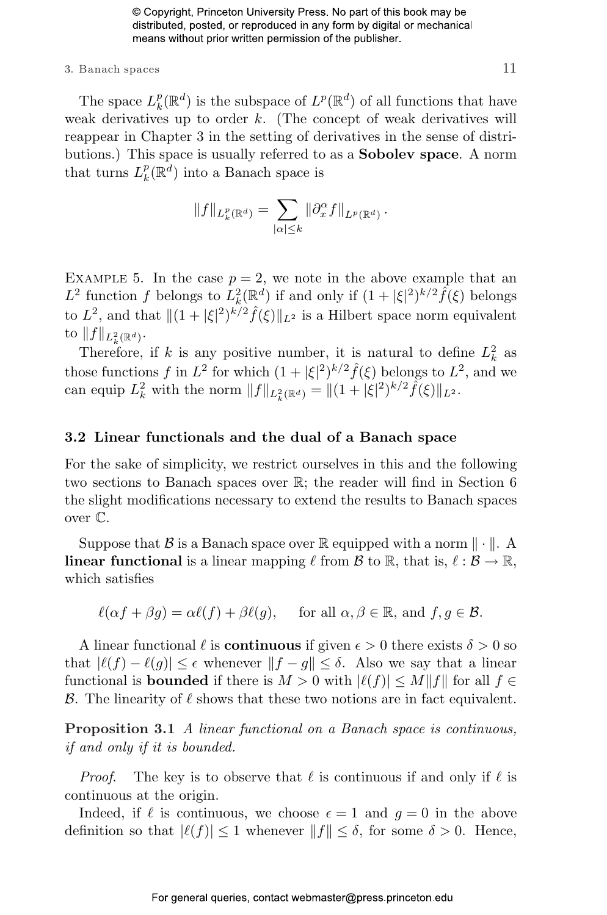#### 3. Banach spaces  $11$

The space  $L_k^p$  $_k^p(\mathbb{R}^d)$  is the subspace of  $L^p(\mathbb{R}^d)$  of all functions that have weak derivatives up to order  $k$ . (The concept of weak derivatives will reappear in Chapter 3 in the setting of derivatives in the sense of distributions.) This space is usually referred to as a **Sobolev space**. A norm that turns  $L_k^p$  $_{k}^{p}(\mathbb{R}^{d})$  into a Banach space is

$$
||f||_{L^p_k(\mathbb{R}^d)} = \sum_{|\alpha| \leq k} ||\partial_x^{\alpha} f||_{L^p(\mathbb{R}^d)}.
$$

EXAMPLE 5. In the case  $p = 2$ , we note in the above example that an  $L^2$  function f belongs to  $\hat{L}_k^2(\mathbb{R}^d)$  if and only if  $(1+|\xi|^2)^{k/2} \hat{f}(\xi)$  belongs to  $L^2$ , and that  $||(1+|\xi|^2)^{k/2}\hat{f}(\xi)||_{L^2}$  is a Hilbert space norm equivalent to  $||f||_{L^2_k(\mathbb{R}^d)}$ .

Therefore, if k is any positive number, it is natural to define  $L_k^2$  as those functions f in  $L^2$  for which  $(1 + |\xi|^2)^{k/2} \hat{f}(\xi)$  belongs to  $L^2$ , and we can equip  $L_k^2$  with the norm  $||f||_{L_k^2(\mathbb{R}^d)} = ||(1 + |\xi|^2)^{k/2} \tilde{f}(\xi)||_{L^2}$ .

#### 3.2 Linear functionals and the dual of a Banach space

For the sake of simplicity, we restrict ourselves in this and the following two sections to Banach spaces over R; the reader will find in Section 6 the slight modifications necessary to extend the results to Banach spaces over C.

Suppose that  $\beta$  is a Banach space over R equipped with a norm  $\|\cdot\|$ . A **linear functional** is a linear mapping  $\ell$  from  $\mathcal{B}$  to  $\mathbb{R}$ , that is,  $\ell : \mathcal{B} \to \mathbb{R}$ , which satisfies

 $\ell(\alpha f + \beta g) = \alpha \ell(f) + \beta \ell(g), \quad \text{ for all } \alpha, \beta \in \mathbb{R}, \text{ and } f, g \in \mathcal{B}.$ 

A linear functional  $\ell$  is **continuous** if given  $\epsilon > 0$  there exists  $\delta > 0$  so that  $|\ell(f) - \ell(g)| \leq \epsilon$  whenever  $||f - g|| \leq \delta$ . Also we say that a linear functional is **bounded** if there is  $M > 0$  with  $|\ell(f)| \leq M||f||$  for all  $f \in$ B. The linearity of  $\ell$  shows that these two notions are in fact equivalent.

Proposition 3.1 A linear functional on a Banach space is continuous, if and only if it is bounded.

*Proof.* The key is to observe that  $\ell$  is continuous if and only if  $\ell$  is continuous at the origin.

Indeed, if  $\ell$  is continuous, we choose  $\epsilon = 1$  and  $q = 0$  in the above definition so that  $|\ell(f)| \leq 1$  whenever  $||f|| \leq \delta$ , for some  $\delta > 0$ . Hence,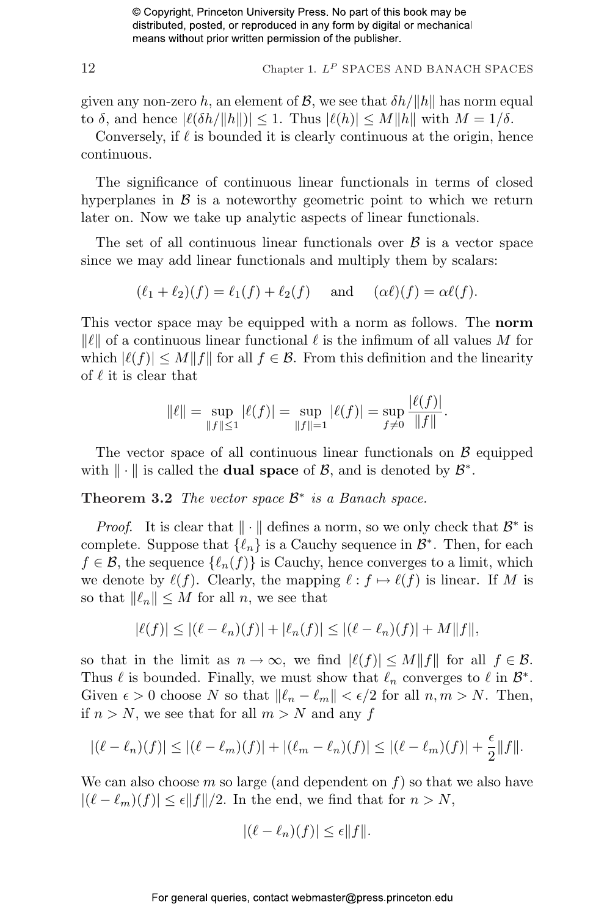$$
12
$$
 Chapter 1.  $L^P$  SPACES AND BANACH SPACES

given any non-zero h, an element of  $\mathcal{B}$ , we see that  $\delta h / ||h||$  has norm equal to  $\delta$ , and hence  $|\ell(\delta h/\Vert h\Vert)| \leq 1$ . Thus  $|\ell(h)| \leq M\Vert h\Vert$  with  $M = 1/\delta$ .

Conversely, if  $\ell$  is bounded it is clearly continuous at the origin, hence continuous.

The significance of continuous linear functionals in terms of closed hyperplanes in  $\beta$  is a noteworthy geometric point to which we return later on. Now we take up analytic aspects of linear functionals.

The set of all continuous linear functionals over  $\beta$  is a vector space since we may add linear functionals and multiply them by scalars:

$$
(\ell_1 + \ell_2)(f) = \ell_1(f) + \ell_2(f) \quad \text{and} \quad (\alpha \ell)(f) = \alpha \ell(f).
$$

This vector space may be equipped with a norm as follows. The **norm**  $\|\ell\|$  of a continuous linear functional  $\ell$  is the infimum of all values M for which  $|\ell(f)| \leq M||f||$  for all  $f \in \mathcal{B}$ . From this definition and the linearity of  $\ell$  it is clear that

$$
\|\ell\| = \sup_{\|f\| \le 1} |\ell(f)| = \sup_{\|f\| = 1} |\ell(f)| = \sup_{f \ne 0} \frac{|\ell(f)|}{\|f\|}.
$$

The vector space of all continuous linear functionals on  $\beta$  equipped with  $\|\cdot\|$  is called the **dual space** of  $\mathcal{B}$ , and is denoted by  $\mathcal{B}^*$ .

Theorem 3.2 The vector space  $\mathcal{B}^*$  is a Banach space.

*Proof.* It is clear that  $\|\cdot\|$  defines a norm, so we only check that  $\mathcal{B}^*$  is complete. Suppose that  $\{\ell_n\}$  is a Cauchy sequence in  $\mathcal{B}^*$ . Then, for each  $f \in \mathcal{B}$ , the sequence  $\{\ell_n(f)\}\$ is Cauchy, hence converges to a limit, which we denote by  $\ell(f)$ . Clearly, the mapping  $\ell : f \mapsto \ell(f)$  is linear. If M is so that  $\|\ell_n\| \leq M$  for all n, we see that

$$
|\ell(f)| \le |(\ell - \ell_n)(f)| + |\ell_n(f)| \le |(\ell - \ell_n)(f)| + M\|f\|,
$$

so that in the limit as  $n \to \infty$ , we find  $|\ell(f)| \leq M||f||$  for all  $f \in \mathcal{B}$ . Thus  $\ell$  is bounded. Finally, we must show that  $\ell_n$  converges to  $\ell$  in  $\mathcal{B}^*$ . Given  $\epsilon > 0$  choose N so that  $\|\ell_n - \ell_m\| < \epsilon/2$  for all  $n, m > N$ . Then, if  $n > N$ , we see that for all  $m > N$  and any f

$$
|(\ell - \ell_n)(f)| \le |(\ell - \ell_m)(f)| + |(\ell_m - \ell_n)(f)| \le |(\ell - \ell_m)(f)| + \frac{\epsilon}{2}||f||.
$$

We can also choose m so large (and dependent on  $f$ ) so that we also have  $|(\ell - \ell_m)(f)| \leq \epsilon ||f||/2$ . In the end, we find that for  $n > N$ ,

$$
|(\ell - \ell_n)(f)| \le \epsilon ||f||.
$$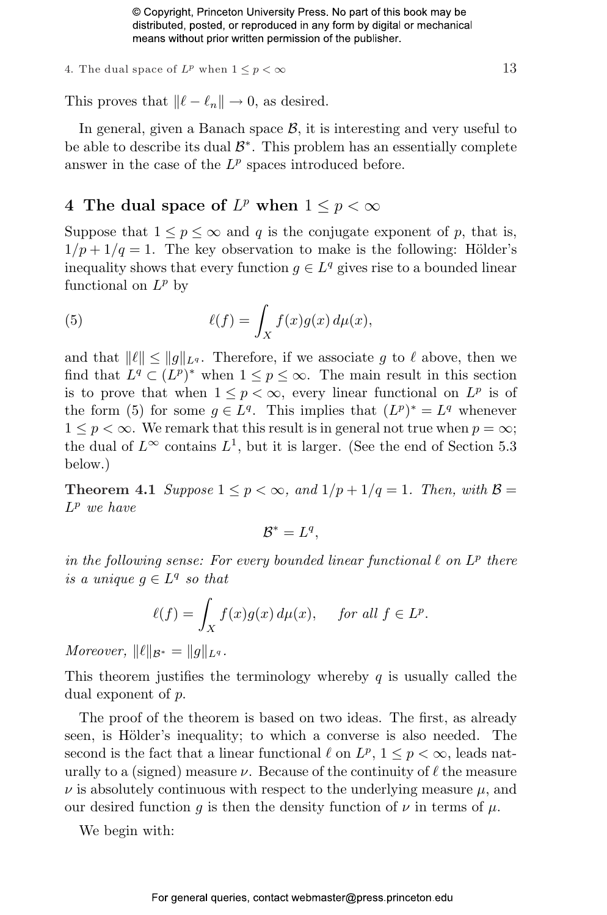4. The dual space of  $L^p$  when  $1 \leq p < \infty$  13

This proves that  $\|\ell - \ell_n\| \to 0$ , as desired.

In general, given a Banach space  $\mathcal{B}$ , it is interesting and very useful to be able to describe its dual  $\mathcal{B}^*$ . This problem has an essentially complete answer in the case of the  $L^p$  spaces introduced before.

#### 4 The dual space of  $L^p$  when  $1 \leq p < \infty$

Suppose that  $1 \leq p \leq \infty$  and q is the conjugate exponent of p, that is,  $1/p + 1/q = 1$ . The key observation to make is the following: Hölder's inequality shows that every function  $g \in L^q$  gives rise to a bounded linear functional on  $L^p$  by

(5) 
$$
\ell(f) = \int_X f(x)g(x) d\mu(x),
$$

and that  $\|\ell\| \le \|q \|_{L^q}$ . Therefore, if we associate g to  $\ell$  above, then we find that  $L^q \subset (L^p)^*$  when  $1 \leq p \leq \infty$ . The main result in this section is to prove that when  $1 \leq p < \infty$ , every linear functional on  $L^p$  is of the form (5) for some  $g \in L^q$ . This implies that  $(L^p)^* = L^q$  whenever  $1 \leq p \leq \infty$ . We remark that this result is in general not true when  $p = \infty$ ; the dual of  $L^{\infty}$  contains  $L^{1}$ , but it is larger. (See the end of Section 5.3 below.)

**Theorem 4.1** Suppose  $1 \leq p < \infty$ , and  $1/p + 1/q = 1$ . Then, with  $\beta =$  $L^p$  we have

$$
\mathcal{B}^* = L^q,
$$

in the following sense: For every bounded linear functional  $\ell$  on  $L^p$  there is a unique  $g \in L^q$  so that

$$
\ell(f) = \int_X f(x)g(x) \, d\mu(x), \quad \text{ for all } f \in L^p.
$$

Moreover,  $\|\ell\|_{\mathcal{B}^*} = \|q\|_{L^q}$ .

This theorem justifies the terminology whereby  $q$  is usually called the dual exponent of p.

The proof of the theorem is based on two ideas. The first, as already seen, is Hölder's inequality; to which a converse is also needed. The second is the fact that a linear functional  $\ell$  on  $L^p$ ,  $1 \leq p < \infty$ , leads naturally to a (signed) measure  $\nu$ . Because of the continuity of  $\ell$  the measure  $\nu$  is absolutely continuous with respect to the underlying measure  $\mu$ , and our desired function g is then the density function of  $\nu$  in terms of  $\mu$ .

We begin with: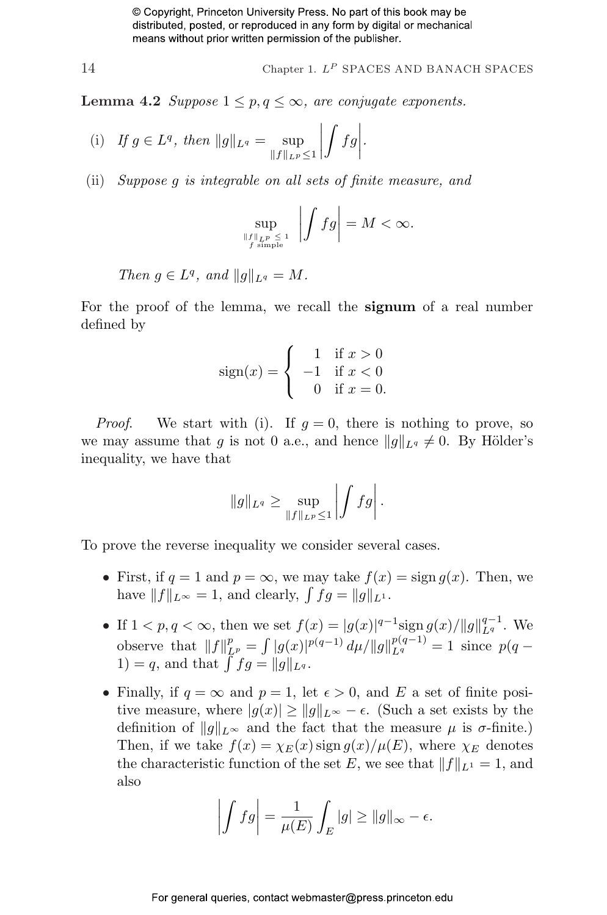$$
14
$$
 Chapter 1.  $L^P$  SPACES AND BANACH SPACES

**Lemma 4.2** Suppose  $1 \leq p, q \leq \infty$ , are conjugate exponents.

(i) If 
$$
g \in L^q
$$
, then  $||g||_{L^q} = \sup_{||f||_{L^p} \le 1} \left| \int fg \right|$ .

(ii) Suppose g is integrable on all sets of finite measure, and

$$
\sup_{\substack{\|f\|_{L^p} \le 1 \\ f \text{ simple}}} \left| \int f g \right| = M < \infty.
$$

Then  $g \in L^q$ , and  $||g||_{L^q} = M$ .

For the proof of the lemma, we recall the signum of a real number defined by

$$
sign(x) = \begin{cases} 1 & \text{if } x > 0 \\ -1 & \text{if } x < 0 \\ 0 & \text{if } x = 0. \end{cases}
$$

*Proof.* We start with (i). If  $g = 0$ , there is nothing to prove, so we may assume that g is not 0 a.e., and hence  $||g||_{L_q} \neq 0$ . By Hölder's inequality, we have that

$$
||g||_{L^q}\geq \sup_{||f||_{L^p}\leq 1}\left|\int fg\right|.
$$

To prove the reverse inequality we consider several cases.

- First, if  $q = 1$  and  $p = \infty$ , we may take  $f(x) = \text{sign } q(x)$ . Then, we First, if  $q = 1$  and  $p = \infty$ , we may take  $f(x)$ <br>have  $||f||_{L^{\infty}} = 1$ , and clearly,  $\int f g = ||g||_{L^{1}}$ .
- If  $1 < p, q < \infty$ , then we set  $f(x) = |g(x)|^{q-1} \text{sign } g(x) / ||g||_{L^q}^{q-1}$ . We observe that  $||f||_{L^p}^p =$ R  $|g(x)|^{p(q-1)} d\mu/||g||_{L^q}^{p(q-1)} = 1$  since  $p(q-1)$ between that  $||J||_{L^p}^r = \int |g(x)|^p$ <br>  $1) = q$ , and that  $\int f g = ||g||_{L^q}$ .
- Finally, if  $q = \infty$  and  $p = 1$ , let  $\epsilon > 0$ , and E a set of finite positive measure, where  $|g(x)| \ge ||g||_{L^{\infty}} - \epsilon$ . (Such a set exists by the definition of  $||g||_{L^{\infty}}$  and the fact that the measure  $\mu$  is  $\sigma$ -finite.) Then, if we take  $f(x) = \chi_E(x) \operatorname{sign} g(x)/\mu(E)$ , where  $\chi_E$  denotes the characteristic function of the set E, we see that  $||f||_{L^1} = 1$ , and also

$$
\left| \int fg \right| = \frac{1}{\mu(E)} \int_E |g| \ge ||g||_{\infty} - \epsilon.
$$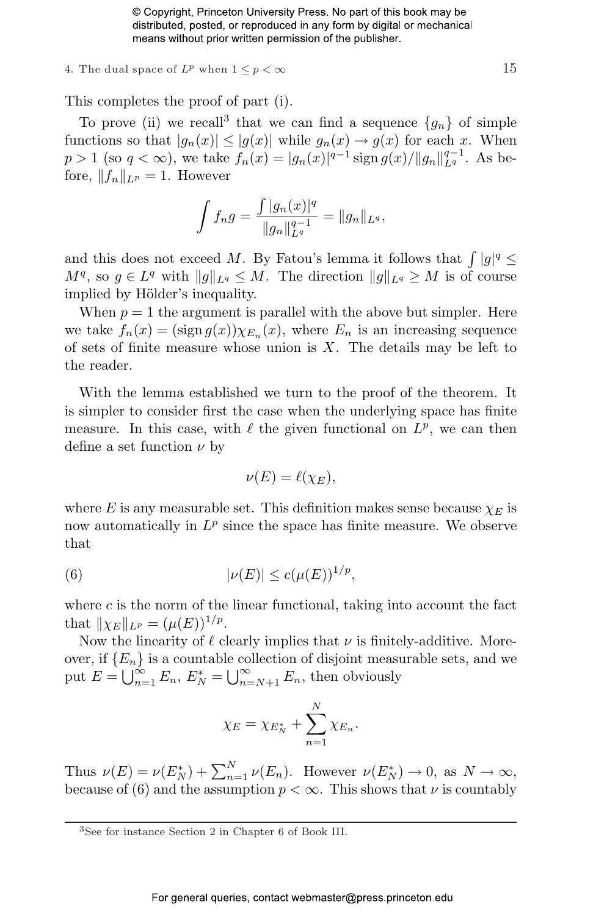4. The dual space of  $L^p$  when  $1 \leq p < \infty$  15

This completes the proof of part (i).

To prove (ii) we recall<sup>3</sup> that we can find a sequence  $\{g_n\}$  of simple functions so that  $|g_n(x)| \leq |g(x)|$  while  $g_n(x) \to g(x)$  for each x. When  $p > 1$  (so  $q < \infty$ ), we take  $f_n(x) = |g_n(x)|^{q-1} \operatorname{sign} g(x) / ||g_n||_{L^q}^{q-1}$ . As before,  $||f_n||_{L^p} = 1$ . However

$$
\int f_n g = \frac{\int |g_n(x)|^q}{\|g_n\|_{L^q}^{q-1}} = \|g_n\|_{L^q},
$$

and this does not exceed M. By Fatou's lemma it follows that  $\int |g|^q \leq$  $M^q$ , so  $g \in L^q$  with  $||g||_{L^q} \leq M$ . The direction  $||g||_{L^q} \geq M$  is of course implied by Hölder's inequality.

When  $p = 1$  the argument is parallel with the above but simpler. Here we take  $f_n(x) = (\text{sign } g(x)) \chi_{E_n}(x)$ , where  $E_n$  is an increasing sequence of sets of finite measure whose union is  $X$ . The details may be left to the reader.

With the lemma established we turn to the proof of the theorem. It is simpler to consider first the case when the underlying space has finite measure. In this case, with  $\ell$  the given functional on  $L^p$ , we can then define a set function  $\nu$  by

$$
\nu(E) = \ell(\chi_E),
$$

where E is any measurable set. This definition makes sense because  $\chi_E$  is now automatically in  $L^p$  since the space has finite measure. We observe that

(6) 
$$
|\nu(E)| \le c(\mu(E))^{1/p},
$$

where  $c$  is the norm of the linear functional, taking into account the fact that  $\|\chi_E\|_{L^p} = (\mu(E))^{1/p}$ .

Now the linearity of  $\ell$  clearly implies that  $\nu$  is finitely-additive. Moreover, if  ${E_n}$  is a countable collection of disjoint measurable sets, and we over, if  $\{E_n\}$  is a countable put  $E = \bigcup_{n=1}^{\infty} E_n$ ,  $E_N^* =$ e co<br>⊨i∞  $\sum_{n=N+1}^{\infty} E_n$ , then obviously

$$
\chi_E = \chi_{E_N^*} + \sum_{n=1}^N \chi_{E_n}.
$$

Thus  $\nu(E) = \nu(E_N^*) + \sum_{n=1}^N \nu(E_n)$ . However  $\nu(E_N^*) \to 0$ , as  $N \to \infty$ , because of (6) and the assumption  $p < \infty$ . This shows that  $\nu$  is countably

<sup>3</sup>See for instance Section 2 in Chapter 6 of Book III.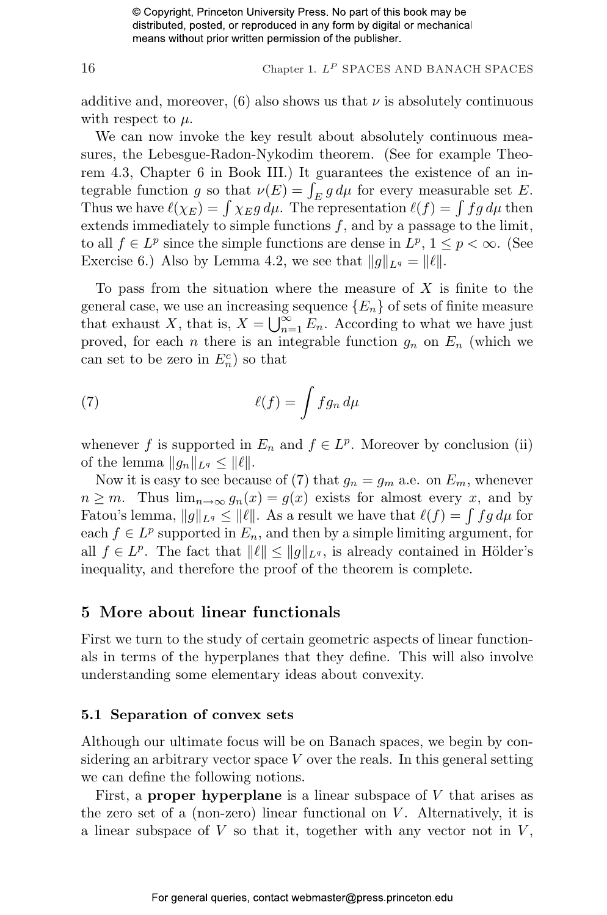16 Chapter 1.  $L^P$  SPACES AND BANACH SPACES

additive and, moreover,  $(6)$  also shows us that  $\nu$  is absolutely continuous with respect to  $\mu$ .

We can now invoke the key result about absolutely continuous measures, the Lebesgue-Radon-Nykodim theorem. (See for example Theorem 4.3, Chapter 6 in Book III.) It guarantees the existence of an inrem 4.3, Chapter 6 in Book III.) It guarantees the existence of an in-<br>tegrable function g so that  $\nu(E) = \int_E g d\mu$  for every measurable set E. tegrable function g so that  $\nu(E) = \int_E g d\mu$  for every measurable set E.<br>Thus we have  $\ell(\chi_E) = \int \chi_E g d\mu$ . The representation  $\ell(f) = \int fg d\mu$  then extends immediately to simple functions  $f$ , and by a passage to the limit, to all  $f \in L^p$  since the simple functions are dense in  $L^p$ ,  $1 \leq p < \infty$ . (See Exercise 6.) Also by Lemma 4.2, we see that  $||g||_{L^q} = ||\ell||$ .

To pass from the situation where the measure of  $X$  is finite to the general case, we use an increasing sequence  ${E_n}$  of sets of finite measure that exhaust X, that is,  $X = \bigcup_{n=1}^{\infty} E_n$ . According to what we have just proved, for each *n* there is an integrable function  $g_n$  on  $E_n$  (which we can set to be zero in  $E_n^c$ ) so that

(7) 
$$
\ell(f) = \int f g_n \, d\mu
$$

whenever f is supported in  $E_n$  and  $f \in L^p$ . Moreover by conclusion (ii) of the lemma  $||g_n||_{L^q} \leq ||\ell||$ .

Now it is easy to see because of (7) that  $g_n = g_m$  a.e. on  $E_m$ , whenever  $n \geq m$ . Thus  $\lim_{n \to \infty} g_n(x) = g(x)$  exists for almost every x, and by  $n \geq m$ . Thus  $\lim_{n \to \infty} g_n(x) = g(x)$  exists for almost every x, and by<br>Fatou's lemma,  $||g||_{L^q} \leq ||\ell||$ . As a result we have that  $\ell(f) = \int f g d\mu$  for each  $f \in L^p$  supported in  $E_n$ , and then by a simple limiting argument, for all  $f \in L^p$ . The fact that  $||\ell|| \le ||g||_{L^q}$ , is already contained in Hölder's inequality, and therefore the proof of the theorem is complete.

#### 5 More about linear functionals

First we turn to the study of certain geometric aspects of linear functionals in terms of the hyperplanes that they define. This will also involve understanding some elementary ideas about convexity.

#### 5.1 Separation of convex sets

Although our ultimate focus will be on Banach spaces, we begin by considering an arbitrary vector space  $V$  over the reals. In this general setting we can define the following notions.

First, a **proper hyperplane** is a linear subspace of  $V$  that arises as the zero set of a (non-zero) linear functional on  $V$ . Alternatively, it is a linear subspace of  $V$  so that it, together with any vector not in  $V$ ,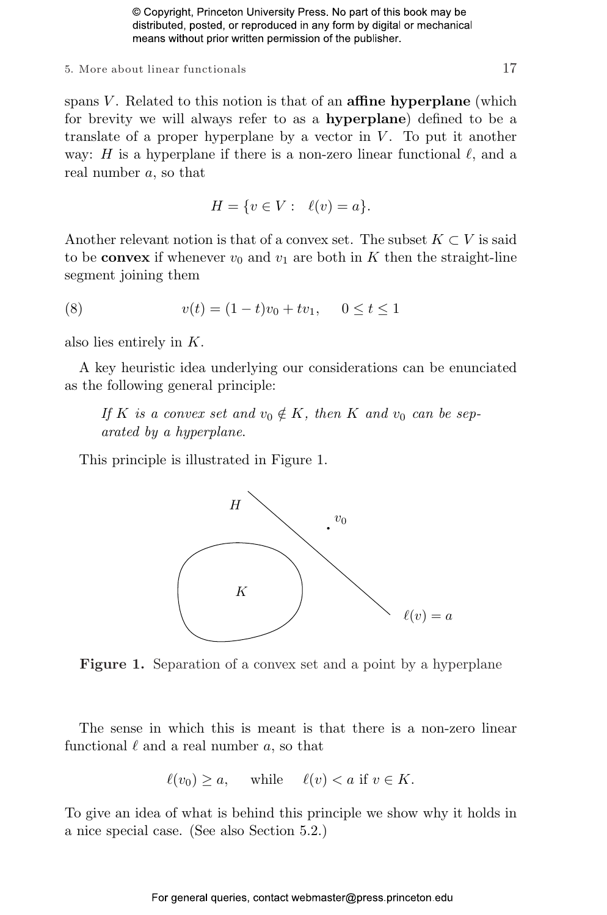#### $5.$  More about linear functionals  $17$

spans  $V$ . Related to this notion is that of an **affine hyperplane** (which for brevity we will always refer to as a hyperplane) defined to be a translate of a proper hyperplane by a vector in  $V$ . To put it another way: H is a hyperplane if there is a non-zero linear functional  $\ell$ , and a real number a, so that

$$
H = \{ v \in V : \ell(v) = a \}.
$$

Another relevant notion is that of a convex set. The subset  $K \subset V$  is said to be **convex** if whenever  $v_0$  and  $v_1$  are both in K then the straight-line segment joining them

(8) 
$$
v(t) = (1-t)v_0 + tv_1, \quad 0 \le t \le 1
$$

also lies entirely in K.

A key heuristic idea underlying our considerations can be enunciated as the following general principle:

If K is a convex set and  $v_0 \notin K$ , then K and  $v_0$  can be separated by a hyperplane.

This principle is illustrated in Figure 1.



Figure 1. Separation of a convex set and a point by a hyperplane

The sense in which this is meant is that there is a non-zero linear functional  $\ell$  and a real number a, so that

$$
\ell(v_0) \ge a, \quad \text{while} \quad \ell(v) < a \text{ if } v \in K.
$$

To give an idea of what is behind this principle we show why it holds in a nice special case. (See also Section 5.2.)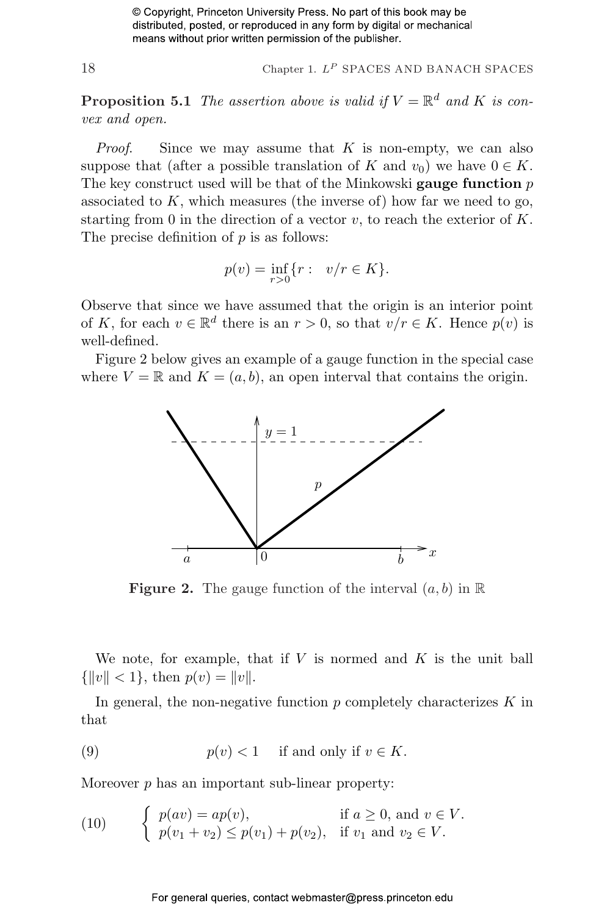18 Chapter 1.  $L^P$  SPACES AND BANACH SPACES

**Proposition 5.1** The assertion above is valid if  $V = \mathbb{R}^d$  and K is convex and open.

*Proof.* Since we may assume that  $K$  is non-empty, we can also suppose that (after a possible translation of K and  $v_0$ ) we have  $0 \in K$ . The key construct used will be that of the Minkowski gauge function  $p$ associated to  $K$ , which measures (the inverse of) how far we need to go, starting from 0 in the direction of a vector  $v$ , to reach the exterior of  $K$ . The precise definition of  $p$  is as follows:

$$
p(v) = \inf_{r>0} \{r : v/r \in K\}.
$$

Observe that since we have assumed that the origin is an interior point of K, for each  $v \in \mathbb{R}^d$  there is an  $r > 0$ , so that  $v/r \in K$ . Hence  $p(v)$  is well-defined.

Figure 2 below gives an example of a gauge function in the special case where  $V = \mathbb{R}$  and  $K = (a, b)$ , an open interval that contains the origin.



**Figure 2.** The gauge function of the interval  $(a, b)$  in  $\mathbb{R}$ 

We note, for example, that if  $V$  is normed and  $K$  is the unit ball  $\{|v\| < 1\}$ , then  $p(v) = ||v||$ .

In general, the non-negative function  $p$  completely characterizes  $K$  in that

(9) 
$$
p(v) < 1
$$
 if and only if  $v \in K$ .

Moreover p has an important sub-linear property:

(10) 
$$
\begin{cases} p(av) = ap(v), & \text{if } a \ge 0, \text{ and } v \in V. \\ p(v_1 + v_2) \le p(v_1) + p(v_2), & \text{if } v_1 \text{ and } v_2 \in V. \end{cases}
$$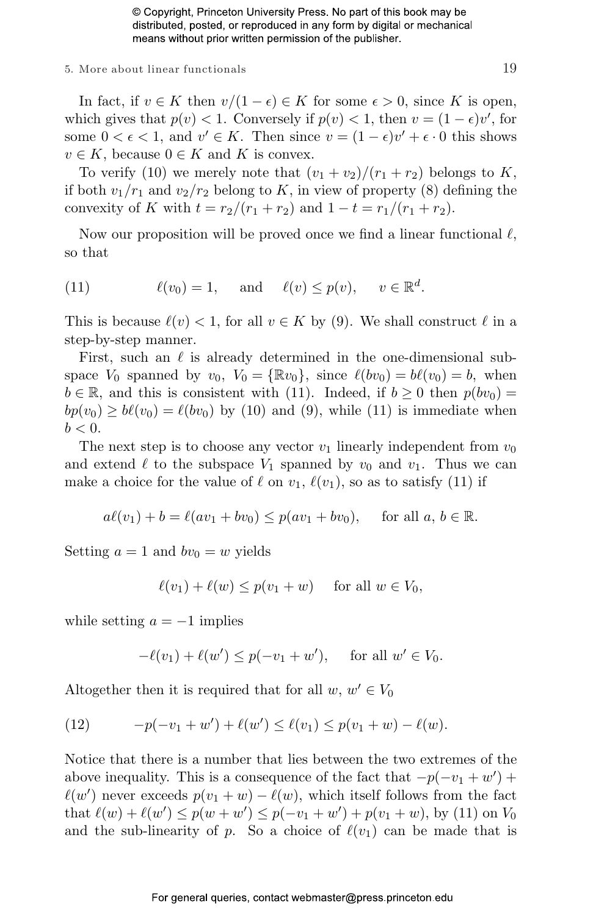#### $5.$  More about linear functionals  $19$

In fact, if  $v \in K$  then  $v/(1 - \epsilon) \in K$  for some  $\epsilon > 0$ , since K is open, which gives that  $p(v) < 1$ . Conversely if  $p(v) < 1$ , then  $v = (1 - \epsilon)v'$ , for some  $0 < \epsilon < 1$ , and  $v' \in K$ . Then since  $v = (1 - \epsilon)v' + \epsilon \cdot 0$  this shows  $v \in K$ , because  $0 \in K$  and K is convex.

To verify (10) we merely note that  $(v_1 + v_2)/(r_1 + r_2)$  belongs to K, if both  $v_1/r_1$  and  $v_2/r_2$  belong to K, in view of property (8) defining the convexity of K with  $t = r_2/(r_1 + r_2)$  and  $1 - t = r_1/(r_1 + r_2)$ .

Now our proposition will be proved once we find a linear functional  $\ell$ , so that

(11) 
$$
\ell(v_0) = 1, \quad \text{and} \quad \ell(v) \leq p(v), \quad v \in \mathbb{R}^d.
$$

This is because  $\ell(v) < 1$ , for all  $v \in K$  by (9). We shall construct  $\ell$  in a step-by-step manner.

First, such an  $\ell$  is already determined in the one-dimensional subspace  $V_0$  spanned by  $v_0$ ,  $V_0 = \{\mathbb{R}v_0\}$ , since  $\ell(bv_0) = b\ell(v_0) = b$ , when  $b \in \mathbb{R}$ , and this is consistent with (11). Indeed, if  $b \ge 0$  then  $p(bv_0) =$  $bp(v_0) \ge b\ell(v_0) = \ell(bv_0)$  by (10) and (9), while (11) is immediate when  $b < 0$ .

The next step is to choose any vector  $v_1$  linearly independent from  $v_0$ and extend  $\ell$  to the subspace  $V_1$  spanned by  $v_0$  and  $v_1$ . Thus we can make a choice for the value of  $\ell$  on  $v_1, \ell(v_1)$ , so as to satisfy (11) if

$$
a\ell(v_1) + b = \ell(av_1 + bv_0) \leq p(av_1 + bv_0),
$$
 for all  $a, b \in \mathbb{R}$ .

Setting  $a = 1$  and  $bv_0 = w$  yields

$$
\ell(v_1) + \ell(w) \le p(v_1 + w) \quad \text{for all } w \in V_0,
$$

while setting  $a = -1$  implies

$$
-\ell(v_1) + \ell(w') \le p(-v_1 + w'), \quad \text{for all } w' \in V_0.
$$

Altogether then it is required that for all  $w, w' \in V_0$ 

(12) 
$$
-p(-v_1+w') + \ell(w') \leq \ell(v_1) \leq p(v_1+w) - \ell(w).
$$

Notice that there is a number that lies between the two extremes of the above inequality. This is a consequence of the fact that  $-p(-v_1 + w')$  +  $\ell(w')$  never exceeds  $p(v_1 + w) - \ell(w)$ , which itself follows from the fact that  $\ell(w) + \ell(w') \leq p(w + w') \leq p(-v_1 + w') + p(v_1 + w)$ , by (11) on  $V_0$ and the sub-linearity of p. So a choice of  $\ell(v_1)$  can be made that is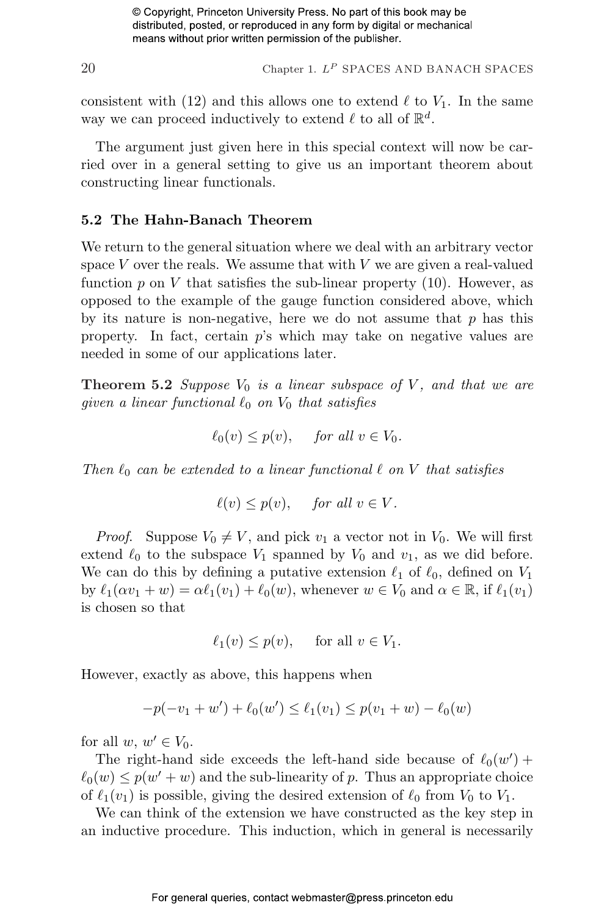$20$  Chapter 1.  $L^P$  SPACES AND BANACH SPACES

consistent with (12) and this allows one to extend  $\ell$  to  $V_1$ . In the same way we can proceed inductively to extend  $\ell$  to all of  $\mathbb{R}^d$ .

The argument just given here in this special context will now be carried over in a general setting to give us an important theorem about constructing linear functionals.

#### 5.2 The Hahn-Banach Theorem

We return to the general situation where we deal with an arbitrary vector space  $V$  over the reals. We assume that with  $V$  we are given a real-valued function  $p$  on  $V$  that satisfies the sub-linear property  $(10)$ . However, as opposed to the example of the gauge function considered above, which by its nature is non-negative, here we do not assume that  $p$  has this property. In fact, certain  $p$ 's which may take on negative values are needed in some of our applications later.

**Theorem 5.2** Suppose  $V_0$  is a linear subspace of V, and that we are given a linear functional  $\ell_0$  on  $V_0$  that satisfies

$$
\ell_0(v) \le p(v), \quad \text{ for all } v \in V_0.
$$

Then  $\ell_0$  can be extended to a linear functional  $\ell$  on V that satisfies

$$
\ell(v) \le p(v), \quad \text{ for all } v \in V.
$$

*Proof.* Suppose  $V_0 \neq V$ , and pick  $v_1$  a vector not in  $V_0$ . We will first extend  $\ell_0$  to the subspace  $V_1$  spanned by  $V_0$  and  $v_1$ , as we did before. We can do this by defining a putative extension  $\ell_1$  of  $\ell_0$ , defined on  $V_1$ by  $\ell_1(\alpha v_1 + w) = \alpha \ell_1(v_1) + \ell_0(w)$ , whenever  $w \in V_0$  and  $\alpha \in \mathbb{R}$ , if  $\ell_1(v_1)$ is chosen so that

$$
\ell_1(v) \le p(v), \quad \text{ for all } v \in V_1.
$$

However, exactly as above, this happens when

$$
-p(-v_1+w') + \ell_0(w') \le \ell_1(v_1) \le p(v_1+w) - \ell_0(w)
$$

for all  $w, w' \in V_0$ .

The right-hand side exceeds the left-hand side because of  $\ell_0(w')$  +  $\ell_0(w) \leq p(w' + w)$  and the sub-linearity of p. Thus an appropriate choice of  $\ell_1(v_1)$  is possible, giving the desired extension of  $\ell_0$  from  $V_0$  to  $V_1$ .

We can think of the extension we have constructed as the key step in an inductive procedure. This induction, which in general is necessarily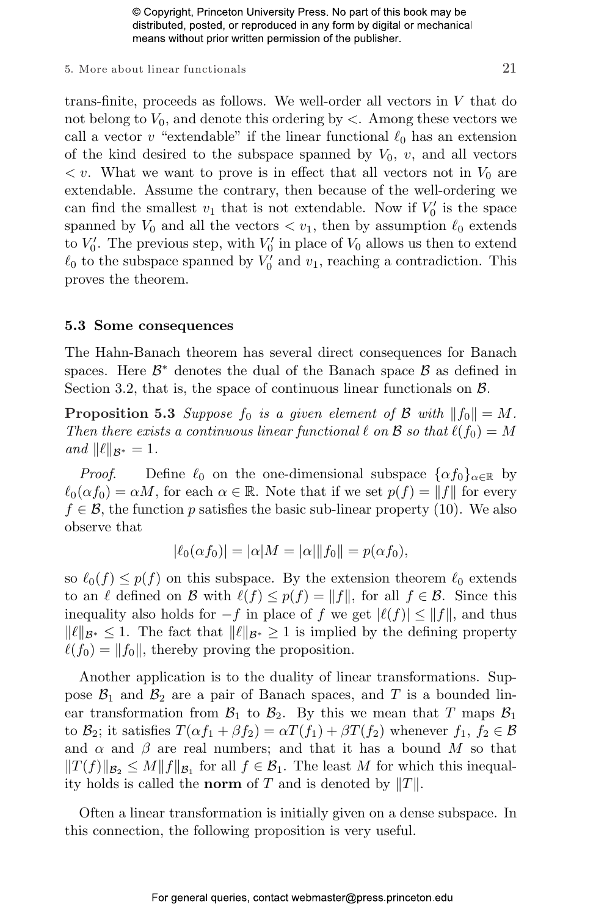#### 5. More about linear functionals  $21$

trans-finite, proceeds as follows. We well-order all vectors in V that do not belong to  $V_0$ , and denote this ordering by  $\lt$ . Among these vectors we call a vector v "extendable" if the linear functional  $\ell_0$  has an extension of the kind desired to the subspace spanned by  $V_0$ ,  $v$ , and all vectors  $\langle v \rangle$ . What we want to prove is in effect that all vectors not in  $V_0$  are extendable. Assume the contrary, then because of the well-ordering we can find the smallest  $v_1$  that is not extendable. Now if  $V'_0$  is the space spanned by  $V_0$  and all the vectors  $\langle v_1, v_2 \rangle$  then by assumption  $\ell_0$  extends to  $V'_0$ . The previous step, with  $V'_0$  in place of  $V_0$  allows us then to extend  $\ell_0$  to the subspace spanned by  $V'_0$  and  $v_1$ , reaching a contradiction. This proves the theorem.

#### 5.3 Some consequences

The Hahn-Banach theorem has several direct consequences for Banach spaces. Here  $\mathcal{B}^*$  denotes the dual of the Banach space  $\mathcal{B}$  as defined in Section 3.2, that is, the space of continuous linear functionals on  $\mathcal{B}$ .

**Proposition 5.3** Suppose  $f_0$  is a given element of  $\mathcal{B}$  with  $||f_0|| = M$ . Then there exists a continuous linear functional  $\ell$  on  $\mathcal B$  so that  $\ell(f_0) = M$ and  $\|\ell\|_{\mathcal{B}^*} = 1$ .

*Proof.* Define  $\ell_0$  on the one-dimensional subspace  $\{\alpha f_0\}_{\alpha \in \mathbb{R}}$  by  $\ell_0(\alpha f_0) = \alpha M$ , for each  $\alpha \in \mathbb{R}$ . Note that if we set  $p(f) = ||f||$  for every  $f \in \mathcal{B}$ , the function p satisfies the basic sub-linear property (10). We also observe that

$$
|\ell_0(\alpha f_0)| = |\alpha| M = |\alpha| \|f_0\| = p(\alpha f_0),
$$

so  $\ell_0(f) \leq p(f)$  on this subspace. By the extension theorem  $\ell_0$  extends to an  $\ell$  defined on B with  $\ell(f) \leq p(f) = ||f||$ , for all  $f \in \mathcal{B}$ . Since this inequality also holds for  $-f$  in place of f we get  $|\ell(f)| \leq ||f||$ , and thus  $\|\ell\|_{\mathcal{B}^*} \leq 1$ . The fact that  $\|\ell\|_{\mathcal{B}^*} \geq 1$  is implied by the defining property  $\ell(f_0) = ||f_0||$ , thereby proving the proposition.

Another application is to the duality of linear transformations. Suppose  $\mathcal{B}_1$  and  $\mathcal{B}_2$  are a pair of Banach spaces, and T is a bounded linear transformation from  $\mathcal{B}_1$  to  $\mathcal{B}_2$ . By this we mean that T maps  $\mathcal{B}_1$ to  $\mathcal{B}_2$ ; it satisfies  $T(\alpha f_1 + \beta f_2) = \alpha T(f_1) + \beta T(f_2)$  whenever  $f_1, f_2 \in \mathcal{B}$ and  $\alpha$  and  $\beta$  are real numbers; and that it has a bound M so that  $||T(f)||_{\mathcal{B}_2} \leq M||f||_{\mathcal{B}_1}$  for all  $f \in \mathcal{B}_1$ . The least M for which this inequality holds is called the **norm** of T and is denoted by  $||T||$ .

Often a linear transformation is initially given on a dense subspace. In this connection, the following proposition is very useful.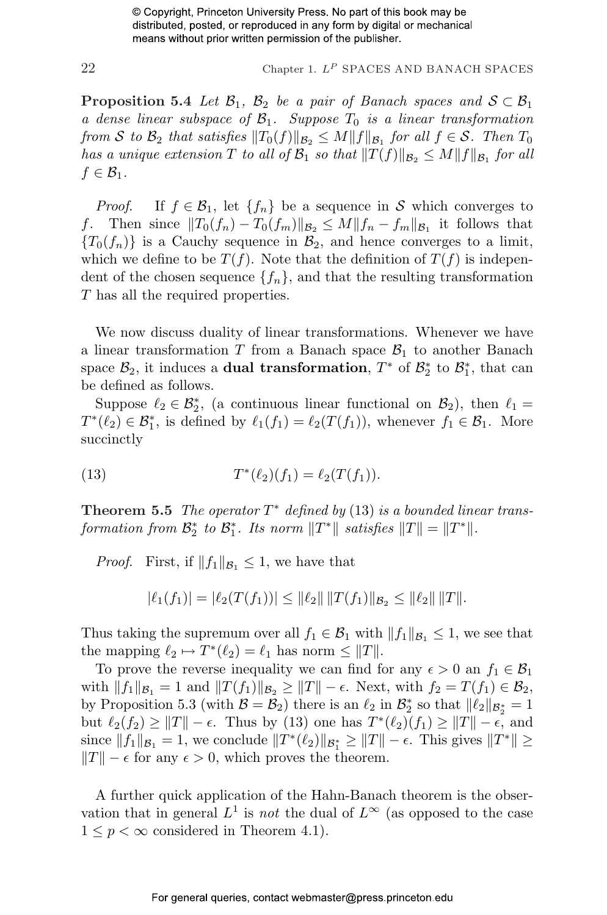22 Chapter 1.  $L^P$  SPACES AND BANACH SPACES

**Proposition 5.4** Let  $\mathcal{B}_1$ ,  $\mathcal{B}_2$  be a pair of Banach spaces and  $\mathcal{S} \subset \mathcal{B}_1$ a dense linear subspace of  $\mathcal{B}_1$ . Suppose  $T_0$  is a linear transformation from S to  $\mathcal{B}_2$  that satisfies  $||T_0(f)||_{\mathcal{B}_2} \leq M||f||_{\mathcal{B}_1}$  for all  $f \in \mathcal{S}$ . Then  $T_0$ has a unique extension T to all of  $\mathcal{B}_1$  so that  $||T(f)||_{\mathcal{B}_2} \leq M||f||_{\mathcal{B}_1}$  for all  $f \in \mathcal{B}_1$ .

*Proof.* If  $f \in \mathcal{B}_1$ , let  $\{f_n\}$  be a sequence in S which converges to f. Then since  $||T_0(f_n) - T_0(f_m)||_{\mathcal{B}_2} \leq M||f_n - f_m||_{\mathcal{B}_1}$  it follows that  ${T_0(f_n)}$  is a Cauchy sequence in  $\mathcal{B}_2$ , and hence converges to a limit, which we define to be  $T(f)$ . Note that the definition of  $T(f)$  is independent of the chosen sequence  $\{f_n\}$ , and that the resulting transformation T has all the required properties.

We now discuss duality of linear transformations. Whenever we have a linear transformation  $T$  from a Banach space  $\mathcal{B}_1$  to another Banach space  $\mathcal{B}_2$ , it induces a **dual transformation**,  $T^*$  of  $\mathcal{B}_2^*$  to  $\mathcal{B}_1^*$ , that can be defined as follows.

Suppose  $\ell_2 \in \mathcal{B}_2^*$ , (a continuous linear functional on  $\mathcal{B}_2$ ), then  $\ell_1 =$  $T^*(\ell_2) \in \mathcal{B}_1^*$ , is defined by  $\ell_1(f_1) = \ell_2(T(f_1))$ , whenever  $f_1 \in \mathcal{B}_1$ . More succinctly

(13) 
$$
T^*(\ell_2)(f_1) = \ell_2(T(f_1)).
$$

**Theorem 5.5** The operator  $T^*$  defined by (13) is a bounded linear transformation from  $\mathcal{B}_2^*$  to  $\mathcal{B}_1^*$ . Its norm  $||T^*||$  satisfies  $||T|| = ||T^*||$ .

*Proof.* First, if  $||f_1||_{\mathcal{B}_1} \leq 1$ , we have that

$$
|\ell_1(f_1)| = |\ell_2(T(f_1))| \leq ||\ell_2|| \, ||T(f_1)||_{\mathcal{B}_2} \leq ||\ell_2|| \, ||T||.
$$

Thus taking the supremum over all  $f_1 \in \mathcal{B}_1$  with  $||f_1||_{\mathcal{B}_1} \leq 1$ , we see that the mapping  $\ell_2 \mapsto T^*(\ell_2) = \ell_1$  has norm  $\leq ||T||$ .

To prove the reverse inequality we can find for any  $\epsilon > 0$  an  $f_1 \in \mathcal{B}_1$ with  $||f_1||_{\mathcal{B}_1} = 1$  and  $||T(f_1)||_{\mathcal{B}_2} \ge ||T|| - \epsilon$ . Next, with  $f_2 = T(f_1) \in \mathcal{B}_2$ , by Proposition 5.3 (with  $\mathcal{B} = \mathcal{B}_2$ ) there is an  $\ell_2$  in  $\mathcal{B}_2^*$  so that  $||\ell_2||_{\mathcal{B}_2^*} = 1$ but  $\ell_2(f_2) \geq ||T|| - \epsilon$ . Thus by (13) one has  $T^*(\ell_2)(f_1) \geq ||T|| - \epsilon$ , and since  $||f_1||_{\mathcal{B}_1} = 1$ , we conclude  $||T^*(\ell_2)||_{\mathcal{B}_1^*} \ge ||T|| - \epsilon$ . This gives  $||T^*|| \ge$  $||T|| - \epsilon$  for any  $\epsilon > 0$ , which proves the theorem.

A further quick application of the Hahn-Banach theorem is the observation that in general  $L^1$  is *not* the dual of  $L^{\infty}$  (as opposed to the case  $1 \leq p < \infty$  considered in Theorem 4.1).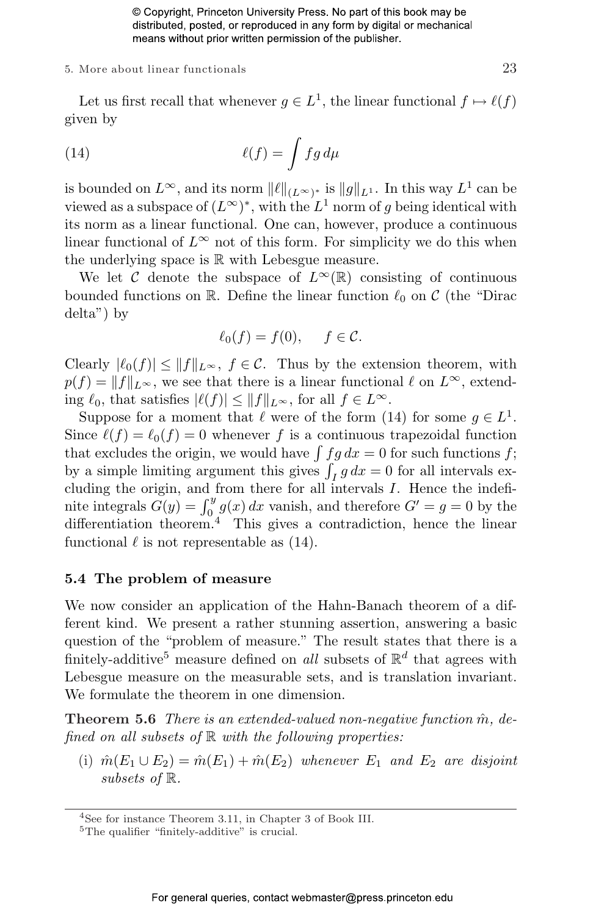#### 5. More about linear functionals  $23$

Let us first recall that whenever  $g \in L^1$ , the linear functional  $f \mapsto \ell(f)$ given by

(14) 
$$
\ell(f) = \int f g d\mu
$$

is bounded on  $L^{\infty}$ , and its norm  $||\ell||_{(L^{\infty})^*}$  is  $||g||_{L^1}$ . In this way  $L^1$  can be viewed as a subspace of  $(L^{\infty})^*$ , with the  $L^1$  norm of g being identical with its norm as a linear functional. One can, however, produce a continuous linear functional of  $L^{\infty}$  not of this form. For simplicity we do this when the underlying space is R with Lebesgue measure.

We let C denote the subspace of  $L^{\infty}(\mathbb{R})$  consisting of continuous bounded functions on R. Define the linear function  $\ell_0$  on C (the "Dirac delta") by

$$
\ell_0(f) = f(0), \quad f \in \mathcal{C}.
$$

Clearly  $|\ell_0(f)| \leq ||f||_{L^{\infty}}, f \in \mathcal{C}$ . Thus by the extension theorem, with  $p(f) = ||f||_{L^{\infty}}$ , we see that there is a linear functional  $\ell$  on  $L^{\infty}$ , extending  $\ell_0$ , that satisfies  $|\ell(f)| \le ||f||_{L^{\infty}}$ , for all  $f \in L^{\infty}$ .

Suppose for a moment that  $\ell$  were of the form (14) for some  $g \in L^1$ . Since  $\ell(f) = \ell_0(f) = 0$  whenever f is a continuous trapezoidal function Since  $\ell(f) = \ell_0(f) = 0$  whenever f is a continuous trapezoidal function<br>that excludes the origin, we would have  $\int f g dx = 0$  for such functions f; that excludes the origin, we would have  $\int f g dx = 0$  for such functions  $f$ ; by a simple limiting argument this gives  $\int_I g dx = 0$  for all intervals excluding the origin, and from there for all intervals I. Hence the indeficluding the origin, and from there for all intervals 1. Hence the indefinite integrals  $G(y) = \int_0^y g(x) dx$  vanish, and therefore  $G' = g = 0$  by the differentiation theorem<sup>4</sup> This gives a contradiction, hence the linear functional  $\ell$  is not representable as (14).

#### 5.4 The problem of measure

We now consider an application of the Hahn-Banach theorem of a different kind. We present a rather stunning assertion, answering a basic question of the "problem of measure." The result states that there is a finitely-additive<sup>5</sup> measure defined on *all* subsets of  $\mathbb{R}^d$  that agrees with Lebesgue measure on the measurable sets, and is translation invariant. We formulate the theorem in one dimension.

**Theorem 5.6** There is an extended-valued non-negative function  $\hat{m}$ , defined on all subsets of  $\mathbb R$  with the following properties:

(i)  $\hat{m}(E_1 \cup E_2) = \hat{m}(E_1) + \hat{m}(E_2)$  whenever  $E_1$  and  $E_2$  are disjoint subsets of R.

<sup>4</sup>See for instance Theorem 3.11, in Chapter 3 of Book III.

<sup>5</sup>The qualifier "finitely-additive" is crucial.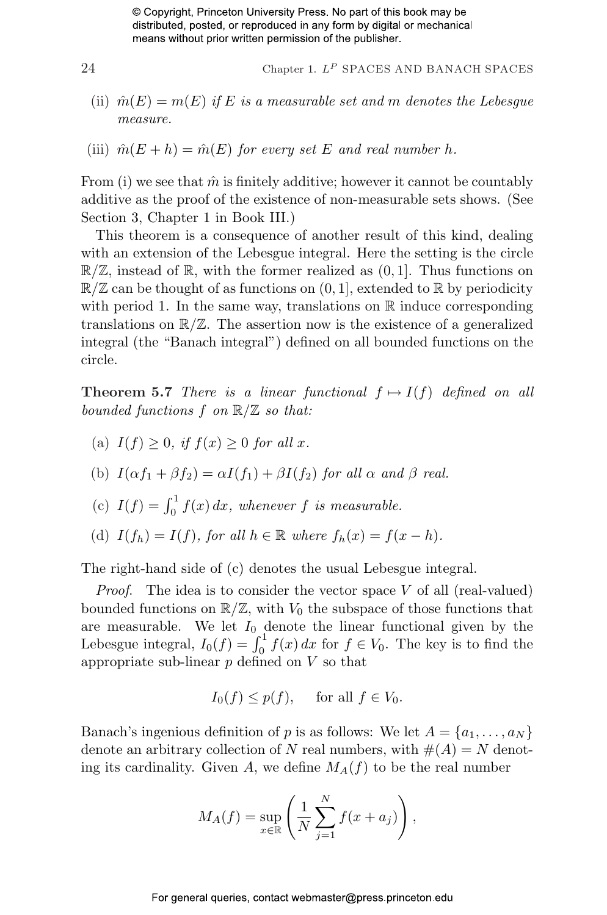- Chapter 1.  $L^P$  SPACES AND BANACH SPACES
- (ii)  $\hat{m}(E) = m(E)$  if E is a measurable set and m denotes the Lebesgue measure.
- (iii)  $\hat{m}(E+h) = \hat{m}(E)$  for every set E and real number h.

From (i) we see that  $\hat{m}$  is finitely additive; however it cannot be countably additive as the proof of the existence of non-measurable sets shows. (See Section 3, Chapter 1 in Book III.)

This theorem is a consequence of another result of this kind, dealing with an extension of the Lebesgue integral. Here the setting is the circle  $\mathbb{R}/\mathbb{Z}$ , instead of  $\mathbb{R}$ , with the former realized as  $(0, 1]$ . Thus functions on  $\mathbb{R}/\mathbb{Z}$  can be thought of as functions on  $(0, 1]$ , extended to  $\mathbb{R}$  by periodicity with period 1. In the same way, translations on  $\mathbb R$  induce corresponding translations on  $\mathbb{R}/\mathbb{Z}$ . The assertion now is the existence of a generalized integral (the "Banach integral") defined on all bounded functions on the circle.

**Theorem 5.7** There is a linear functional  $f \mapsto I(f)$  defined on all bounded functions  $f$  on  $\mathbb{R}/\mathbb{Z}$  so that:

- (a)  $I(f) > 0$ , if  $f(x) > 0$  for all x.
- (b)  $I(\alpha f_1 + \beta f_2) = \alpha I(f_1) + \beta I(f_2)$  for all  $\alpha$  and  $\beta$  real.
- (c)  $I(f) = \int_0^1 f(x) dx$ , whenever f is measurable.
- (d)  $I(f_h) = I(f)$ , for all  $h \in \mathbb{R}$  where  $f_h(x) = f(x h)$ .

The right-hand side of (c) denotes the usual Lebesgue integral.

*Proof.* The idea is to consider the vector space  $V$  of all (real-valued) bounded functions on  $\mathbb{R}/\mathbb{Z}$ , with  $V_0$  the subspace of those functions that are measurable. We let  $I_0$  denote the linear functional given by the Lebesgue integral,  $I_0(f) = \int_0^1 f(x) dx$  for  $f \in V_0$ . The key is to find the appropriate sub-linear  $p$  defined on  $V$  so that

$$
I_0(f) \le p(f), \quad \text{ for all } f \in V_0.
$$

Banach's ingenious definition of p is as follows: We let  $A = \{a_1, \ldots, a_N\}$ denote an arbitrary collection of N real numbers, with  $#(A) = N$  denoting its cardinality. Given A, we define  $M_A(f)$  to be the real number

$$
M_A(f) = \sup_{x \in \mathbb{R}} \left( \frac{1}{N} \sum_{j=1}^N f(x + a_j) \right),
$$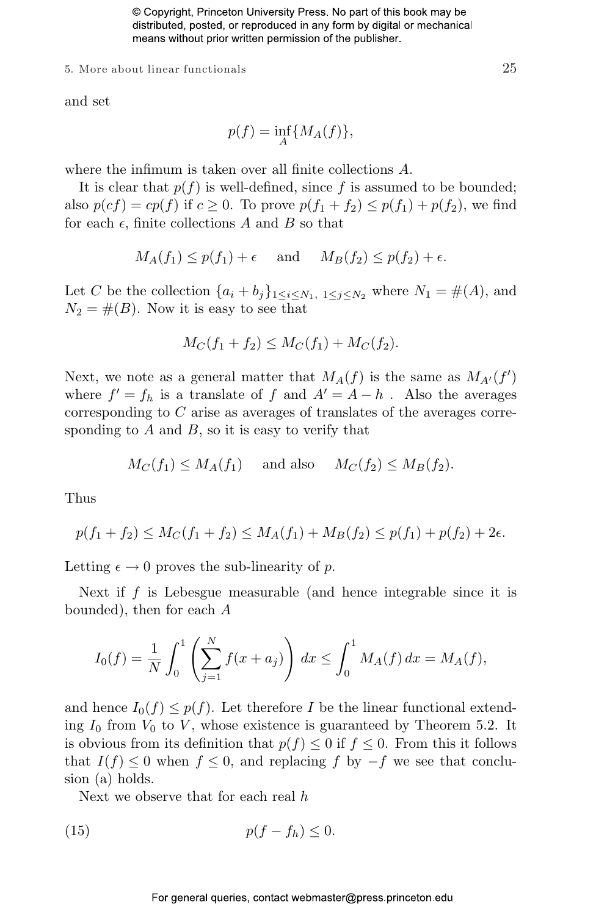5. More about linear functionals  $25$ 

and set

$$
p(f) = \inf_A \{ M_A(f) \},\
$$

where the infimum is taken over all finite collections A.

It is clear that  $p(f)$  is well-defined, since f is assumed to be bounded; also  $p(cf) = cp(f)$  if  $c \ge 0$ . To prove  $p(f_1 + f_2) \le p(f_1) + p(f_2)$ , we find for each  $\epsilon$ , finite collections A and B so that

$$
M_A(f_1) \le p(f_1) + \epsilon
$$
 and  $M_B(f_2) \le p(f_2) + \epsilon$ .

Let C be the collection  $\{a_i + b_j\}_{1 \leq i \leq N_1, 1 \leq j \leq N_2}$  where  $N_1 = \#(A)$ , and  $N_2 = \#(B)$ . Now it is easy to see that

$$
M_C(f_1 + f_2) \le M_C(f_1) + M_C(f_2).
$$

Next, we note as a general matter that  $M_A(f)$  is the same as  $M_{A'}(f')$ where  $f' = f_h$  is a translate of f and  $A' = A - h$ . Also the averages corresponding to C arise as averages of translates of the averages corresponding to  $A$  and  $B$ , so it is easy to verify that

$$
M_C(f_1) \le M_A(f_1)
$$
 and also  $M_C(f_2) \le M_B(f_2)$ .

Thus

$$
p(f_1 + f_2) \le M_C(f_1 + f_2) \le M_A(f_1) + M_B(f_2) \le p(f_1) + p(f_2) + 2\epsilon.
$$

Letting  $\epsilon \to 0$  proves the sub-linearity of p.

Next if f is Lebesgue measurable (and hence integrable since it is bounded), then for each A

$$
I_0(f) = \frac{1}{N} \int_0^1 \left( \sum_{j=1}^N f(x + a_j) \right) dx \le \int_0^1 M_A(f) dx = M_A(f),
$$

and hence  $I_0(f) \leq p(f)$ . Let therefore I be the linear functional extending  $I_0$  from  $V_0$  to V, whose existence is guaranteed by Theorem 5.2. It is obvious from its definition that  $p(f) \leq 0$  if  $f \leq 0$ . From this it follows that  $I(f) \leq 0$  when  $f \leq 0$ , and replacing f by  $-f$  we see that conclusion (a) holds.

Next we observe that for each real h

$$
(15) \t\t\t p(f - f_h) \le 0.
$$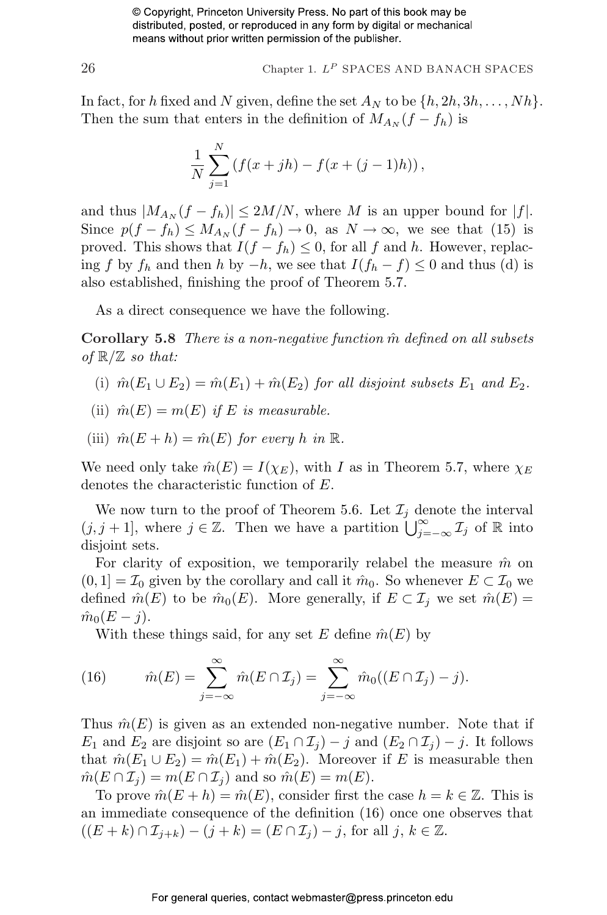$26$  Chapter 1.  $L^P$  SPACES AND BANACH SPACES

In fact, for h fixed and N given, define the set  $A_N$  to be  $\{h, 2h, 3h, \ldots, Nh\}$ . Then the sum that enters in the definition of  $M_{A_N}(f - f_h)$  is

$$
\frac{1}{N}\sum_{j=1}^{N} (f(x+jh) - f(x+(j-1)h)),
$$

and thus  $|M_{A_N}(f - f_h)| \leq 2M/N$ , where M is an upper bound for  $|f|$ . Since  $p(f - f_h) \leq M_{A_N}(f - f_h) \to 0$ , as  $N \to \infty$ , we see that (15) is proved. This shows that  $I(f - f_h) \leq 0$ , for all f and h. However, replacing f by  $f_h$  and then h by  $-h$ , we see that  $I(f_h - f) \leq 0$  and thus (d) is also established, finishing the proof of Theorem 5.7.

As a direct consequence we have the following.

Corollary 5.8 There is a non-negative function  $\hat{m}$  defined on all subsets of  $\mathbb{R}/\mathbb{Z}$  so that:

- (i)  $\hat{m}(E_1 \cup E_2) = \hat{m}(E_1) + \hat{m}(E_2)$  for all disjoint subsets  $E_1$  and  $E_2$ .
- (ii)  $\hat{m}(E) = m(E)$  if E is measurable.
- (iii)  $\hat{m}(E+h) = \hat{m}(E)$  for every h in  $\mathbb{R}$ .

We need only take  $\hat{m}(E) = I(\chi_E)$ , with I as in Theorem 5.7, where  $\chi_E$ denotes the characteristic function of E.

We now turn to the proof of Theorem 5.6. Let  $\mathcal{I}_j$  denote the interval We now turn to the proof of Theorem 5.0. Let  $\mathcal{L}_j$  denote the interval  $(j, j + 1]$ , where  $j \in \mathbb{Z}$ . Then we have a partition  $\bigcup_{j=-\infty}^{\infty} \mathcal{I}_j$  of  $\mathbb{R}$  into disjoint sets.

For clarity of exposition, we temporarily relabel the measure  $\hat{m}$  on  $(0, 1] = \mathcal{I}_0$  given by the corollary and call it  $\hat{m}_0$ . So whenever  $E \subset \mathcal{I}_0$  we defined  $\hat{m}(E)$  to be  $\hat{m}_0(E)$ . More generally, if  $E \subset \mathcal{I}_j$  we set  $\hat{m}(E)$  =  $\hat{m}_0(E-j)$ .

With these things said, for any set E define  $\hat{m}(E)$  by

(16) 
$$
\hat{m}(E) = \sum_{j=-\infty}^{\infty} \hat{m}(E \cap \mathcal{I}_j) = \sum_{j=-\infty}^{\infty} \hat{m}_0((E \cap \mathcal{I}_j) - j).
$$

Thus  $\hat{m}(E)$  is given as an extended non-negative number. Note that if  $E_1$  and  $E_2$  are disjoint so are  $(E_1 \cap \mathcal{I}_j) - j$  and  $(E_2 \cap \mathcal{I}_j) - j$ . It follows that  $\hat{m}(E_1 \cup E_2) = \hat{m}(E_1) + \hat{m}(E_2)$ . Moreover if E is measurable then  $\hat{m}(E \cap \mathcal{I}_j) = m(E \cap \mathcal{I}_j)$  and so  $\hat{m}(E) = m(E)$ .

To prove  $\hat{m}(E+h) = \hat{m}(E)$ , consider first the case  $h = k \in \mathbb{Z}$ . This is an immediate consequence of the definition (16) once one observes that  $((E + k) \cap \mathcal{I}_{j+k}) - (j+k) = (E \cap \mathcal{I}_j) - j$ , for all  $j, k \in \mathbb{Z}$ .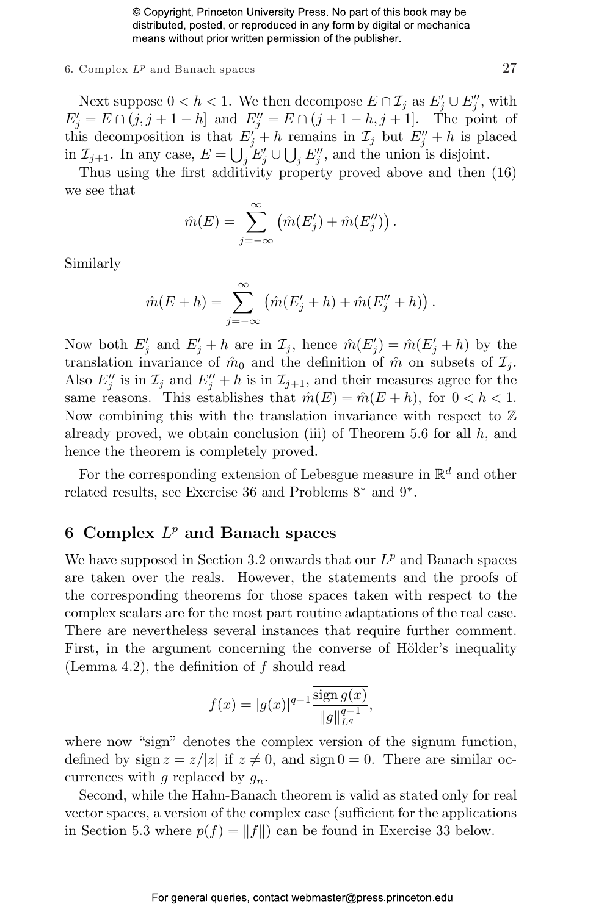#### 6. Complex  $L^p$  and Banach spaces 27

Next suppose  $0 < h < 1$ . We then decompose  $E \cap \mathcal{I}_j$  as  $E'_j \cup E''_j$ , with  $E'_{j} = E \cap (j, j + 1 - h]$  and  $E''_{j} = E \cap (j + 1 - h, j + 1]$ . The point of this decomposition is that  $E_j'' + h$  remains in  $\mathcal{I}_j$  but  $E_j'' + h$  is placed in  $\mathcal{I}_{j+1}$ . In any case,  $E = \bigcup_j E'_j \cup \bigcup_j E''_j$ , and the union is disjoint.

Thus using the first additivity property proved above and then (16) we see that

$$
\hat{m}(E) = \sum_{j=-\infty}^{\infty} (\hat{m}(E'_j) + \hat{m}(E''_j)).
$$

Similarly

$$
\hat{m}(E+h) = \sum_{j=-\infty}^{\infty} (\hat{m}(E'_j + h) + \hat{m}(E''_j + h)).
$$

Now both  $E'_j$  and  $E'_j + h$  are in  $\mathcal{I}_j$ , hence  $\hat{m}(E'_j) = \hat{m}(E'_j + h)$  by the translation invariance of  $\hat{m}_0$  and the definition of  $\hat{m}$  on subsets of  $\mathcal{I}_i$ . Also  $E''_j$  is in  $\mathcal{I}_j$  and  $E''_j + h$  is in  $\mathcal{I}_{j+1}$ , and their measures agree for the same reasons. This establishes that  $\hat{m}(E) = \hat{m}(E + h)$ , for  $0 < h < 1$ . Now combining this with the translation invariance with respect to  $\mathbb Z$ already proved, we obtain conclusion (iii) of Theorem 5.6 for all  $h$ , and hence the theorem is completely proved.

For the corresponding extension of Lebesgue measure in  $\mathbb{R}^d$  and other related results, see Exercise 36 and Problems 8<sup>∗</sup> and 9<sup>∗</sup> .

#### 6 Complex  $L^p$  and Banach spaces

We have supposed in Section 3.2 onwards that our  $L^p$  and Banach spaces are taken over the reals. However, the statements and the proofs of the corresponding theorems for those spaces taken with respect to the complex scalars are for the most part routine adaptations of the real case. There are nevertheless several instances that require further comment. First, in the argument concerning the converse of Hölder's inequality (Lemma 4.2), the definition of  $f$  should read

$$
f(x) = |g(x)|^{q-1} \frac{\overline{\text{sign}\, g(x)}}{||g||_{L^q}^{q-1}},
$$

where now "sign" denotes the complex version of the signum function, defined by sign  $z = z/|z|$  if  $z \neq 0$ , and sign  $0 = 0$ . There are similar occurrences with g replaced by  $g_n$ .

Second, while the Hahn-Banach theorem is valid as stated only for real vector spaces, a version of the complex case (sufficient for the applications in Section 5.3 where  $p(f) = ||f||$  can be found in Exercise 33 below.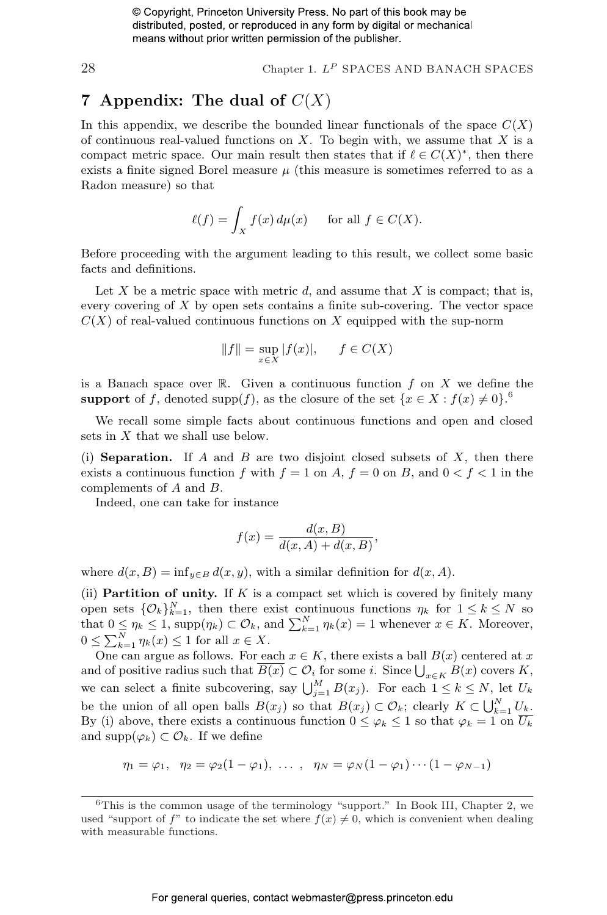$28$  Chapter 1.  $L^P$  SPACES AND BANACH SPACES

#### 7 Appendix: The dual of  $C(X)$

In this appendix, we describe the bounded linear functionals of the space  $C(X)$ of continuous real-valued functions on  $X$ . To begin with, we assume that  $X$  is a compact metric space. Our main result then states that if  $\ell \in C(X)^*$ , then there exists a finite signed Borel measure  $\mu$  (this measure is sometimes referred to as a Radon measure) so that

$$
\ell(f) = \int_X f(x) \, d\mu(x) \quad \text{ for all } f \in C(X).
$$

Before proceeding with the argument leading to this result, we collect some basic facts and definitions.

Let X be a metric space with metric d, and assume that X is compact; that is, every covering of X by open sets contains a finite sub-covering. The vector space  $C(X)$  of real-valued continuous functions on X equipped with the sup-norm

$$
||f|| = \sup_{x \in X} |f(x)|, \quad f \in C(X)
$$

is a Banach space over  $\mathbb R$ . Given a continuous function f on X we define the support of f, denoted supp $(f)$ , as the closure of the set  $\{x \in X : f(x) \neq 0\}$ .

We recall some simple facts about continuous functions and open and closed sets in X that we shall use below.

(i) **Separation.** If A and B are two disjoint closed subsets of X, then there exists a continuous function f with  $f = 1$  on A,  $f = 0$  on B, and  $0 < f < 1$  in the complements of A and B.

Indeed, one can take for instance

$$
f(x) = \frac{d(x, B)}{d(x, A) + d(x, B)},
$$

where  $d(x, B) = \inf_{y \in B} d(x, y)$ , with a similar definition for  $d(x, A)$ .

(ii) **Partition of unity.** If K is a compact set which is covered by finitely many open sets  $\{\mathcal{O}_k\}_{k=1}^N$ , then there exist continuous functions  $\eta_k$  for  $1 \leq k \leq N$  so open sets  $\{C_k\}_{k=1}^K$ , then there exist continuous functions  $\eta_k$  for  $1 \leq k \leq N$  so<br>that  $0 \leq \eta_k \leq 1$ , supp $(\eta_k) \subset \mathcal{O}_k$ , and  $\sum_{k=1}^N \eta_k(x) = 1$  whenever  $x \in K$ . Moreover,  $0 \leq \sum_{k=1}^{N} \eta_k(x) \leq 1$  for all  $x \in X$ .

One can argue as follows. For each  $x \in K$ , there exists a ball  $B(x)$  centered at x One can argue as follows. For each  $x \in K$ , there exists a ball  $D(x)$  centered at x and of positive radius such that  $\overline{B(x)} \subset \mathcal{O}_i$  for some i. Since  $\bigcup_{x \in K} B(x)$  covers K, we can select a finite subcovering, say  $\bigcup_{j=1}^{M} B(x_j)$ . For each  $1 \le k \le N$ , let  $U_k$ be the union of all open balls  $B(x_j)$  so that  $B(x_j) \subset \mathcal{O}_k$ ; clearly  $K \subset \bigcup_{k=1}^N U_k$ . By (i) above, there exists a continuous function  $0 \leq \varphi_k \leq 1$  so that  $\varphi_k = 1$  on  $\overline{U_k}$ and supp $(\varphi_k) \subset \mathcal{O}_k$ . If we define

$$
\eta_1 = \varphi_1, \ \ \eta_2 = \varphi_2(1 - \varphi_1), \ \ldots \ , \ \ \eta_N = \varphi_N(1 - \varphi_1) \cdots (1 - \varphi_{N-1})
$$

 $6$ This is the common usage of the terminology "support." In Book III, Chapter 2, we used "support of f" to indicate the set where  $f(x) \neq 0$ , which is convenient when dealing with measurable functions.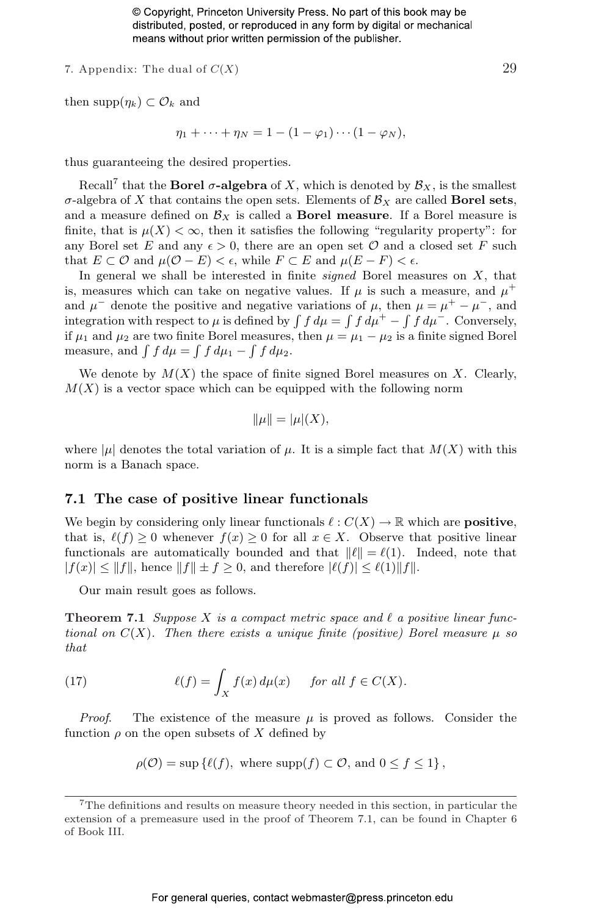7. Appendix: The dual of  $C(X)$  29

then supp
$$
(\eta_k)
$$
  $\subset \mathcal{O}_k$  and

$$
\eta_1 + \cdots + \eta_N = 1 - (1 - \varphi_1) \cdots (1 - \varphi_N),
$$

thus guaranteeing the desired properties.

Recall<sup>7</sup> that the **Borel**  $\sigma$ **-algebra** of X, which is denoted by  $\mathcal{B}_X$ , is the smallest  $\sigma$ -algebra of X that contains the open sets. Elements of  $\mathcal{B}_X$  are called **Borel sets**, and a measure defined on  $\mathcal{B}_X$  is called a **Borel measure**. If a Borel measure is finite, that is  $\mu(X) < \infty$ , then it satisfies the following "regularity property": for any Borel set E and any  $\epsilon > 0$ , there are an open set O and a closed set F such that  $E \subset \mathcal{O}$  and  $\mu(\mathcal{O} - E) < \epsilon$ , while  $F \subset E$  and  $\mu(E - F) < \epsilon$ .

In general we shall be interested in finite *signed* Borel measures on  $X$ , that is, measures which can take on negative values. If  $\mu$  is such a measure, and  $\mu^+$ and  $\mu^-$  denote the positive and negative variations of  $\mu$ , then  $\mu = \mu^+ - \mu^-$ , and and  $\mu$  denote the positive and negative variations of  $\mu$ , then  $\mu = \mu^+ - \mu^-$ , and integration with respect to  $\mu$  is defined by  $\int f d\mu = \int f d\mu^+ - \int f d\mu^-$ . Conversely, if  $\mu_1$  and  $\mu_2$  are two finite Borel measures, then  $\mu = \mu_1 - \mu_2$  is a finite signed Borel If  $\mu_1$  and  $\mu_2$  are two finite borel measures,<br>measure, and  $\int f d\mu = \int f d\mu_1 - \int f d\mu_2$ .

We denote by  $M(X)$  the space of finite signed Borel measures on X. Clearly,  $M(X)$  is a vector space which can be equipped with the following norm

$$
\|\mu\| = |\mu|(X),
$$

where  $|\mu|$  denotes the total variation of  $\mu$ . It is a simple fact that  $M(X)$  with this norm is a Banach space.

#### 7.1 The case of positive linear functionals

We begin by considering only linear functionals  $\ell : C(X) \to \mathbb{R}$  which are **positive**, that is,  $\ell(f) \geq 0$  whenever  $f(x) \geq 0$  for all  $x \in X$ . Observe that positive linear functionals are automatically bounded and that  $\|\ell\| = \ell(1)$ . Indeed, note that  $|f(x)| \leq ||f||$ , hence  $||f|| \pm f \geq 0$ , and therefore  $|\ell(f)| \leq \ell(1)||f||$ .

Our main result goes as follows.

**Theorem 7.1** Suppose X is a compact metric space and  $\ell$  a positive linear functional on  $C(X)$ . Then there exists a unique finite (positive) Borel measure  $\mu$  so that

(17) 
$$
\ell(f) = \int_X f(x) d\mu(x) \quad \text{for all } f \in C(X).
$$

*Proof.* The existence of the measure  $\mu$  is proved as follows. Consider the function  $\rho$  on the open subsets of X defined by

$$
\rho(\mathcal{O}) = \sup \{ \ell(f), \text{ where } \text{supp}(f) \subset \mathcal{O}, \text{ and } 0 \le f \le 1 \},
$$

<sup>7</sup>The definitions and results on measure theory needed in this section, in particular the extension of a premeasure used in the proof of Theorem 7.1, can be found in Chapter 6 of Book III.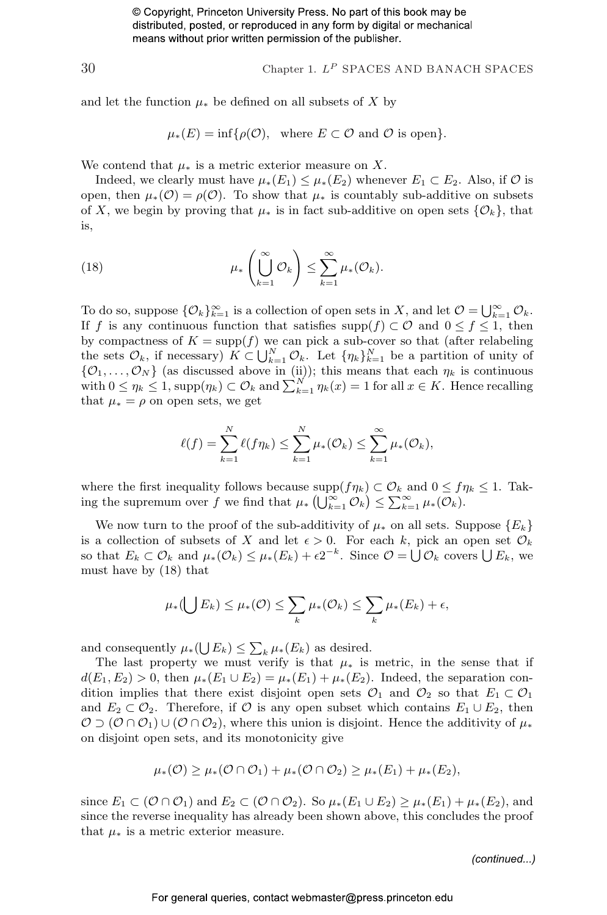30 Chapter 1.  $L^P$  SPACES AND BANACH SPACES

and let the function  $\mu_*$  be defined on all subsets of X by

$$
\mu_*(E) = \inf \{ \rho(\mathcal{O}), \text{ where } E \subset \mathcal{O} \text{ and } \mathcal{O} \text{ is open} \}.
$$

We contend that  $\mu_*$  is a metric exterior measure on X.

Indeed, we clearly must have  $\mu_*(E_1) \leq \mu_*(E_2)$  whenever  $E_1 \subset E_2$ . Also, if  $\mathcal O$  is open, then  $\mu_*(\mathcal{O}) = \rho(\mathcal{O})$ . To show that  $\mu_*$  is countably sub-additive on subsets of X, we begin by proving that  $\mu_*$  is in fact sub-additive on open sets  $\{\mathcal{O}_k\}$ , that is,

(18) 
$$
\mu_*\left(\bigcup_{k=1}^{\infty} \mathcal{O}_k\right) \leq \sum_{k=1}^{\infty} \mu_* (\mathcal{O}_k).
$$

To do so, suppose  $\{\mathcal{O}_k\}_{k=1}^{\infty}$  is a collection of open sets in X, and let  $\mathcal{O} = \bigcup_{k=1}^{\infty} \mathcal{O}_k$ . If f is any continuous function that satisfies supp $(f) \subset \mathcal{O}$  and  $0 \leq f \leq 1$ , then by compactness of  $K = \text{supp}(f)$  we can pick a sub-cover so that (after relabeling by compactness of  $K = \text{supp}(J)$  we can pick a sub-cover so that (after relabeling<br>the sets  $\mathcal{O}_k$ , if necessary)  $K \subset \bigcup_{k=1}^N \mathcal{O}_k$ . Let  $\{\eta_k\}_{k=1}^N$  be a partition of unity of  $\{\mathcal{O}_1, \ldots, \mathcal{O}_N\}$  (as discussed above in (ii)); this means that each  $\eta_k$  is continuous with  $0 \le \eta_k \le 1$ , supp $(\eta_k) \subset \mathcal{O}_k$  and  $\sum_{k=1}^N \eta_k(x) = 1$  for all  $x \in K$ . Hence recalling that  $\mu_* = \rho$  on open sets, we get

$$
\ell(f) = \sum_{k=1}^N \ell(f\eta_k) \leq \sum_{k=1}^N \mu_*(\mathcal{O}_k) \leq \sum_{k=1}^\infty \mu_*(\mathcal{O}_k),
$$

where the first inequality follows because  $\text{supp}(f\eta_k) \subset \mathcal{O}_k$  and  $0 \leq f\eta_k \leq 1$ . Takwhere the first inequality follows because  $\text{supp}(f\eta_k) \subset U_k$  and  $0 \leq f\eta$ <br>ing the supremum over f we find that  $\mu_*\left(\bigcup_{k=1}^{\infty} \mathcal{O}_k\right) \leq \sum_{k=1}^{\infty} \mu_*(\mathcal{O}_k)$ .

We now turn to the proof of the sub-additivity of  $\mu_*$  on all sets. Suppose  $\{E_k\}$ is a collection of subsets of X and let  $\epsilon > 0$ . For each k, pick an open set  $\mathcal{O}_k$ so that  $E_k \subset \mathcal{O}_k$  and  $\mu_*(\mathcal{O}_k) \leq \mu_*(E_k) + \epsilon 2^{-k}$ . Since  $\mathcal{O} = \bigcup \mathcal{O}_k$  covers  $\bigcup E_k$ , we must have by (18) that

$$
\mu_*(\bigcup E_k) \leq \mu_*(\mathcal{O}) \leq \sum_k \mu_*(\mathcal{O}_k) \leq \sum_k \mu_*(E_k) + \epsilon,
$$

and consequently  $\mu_*(\bigcup E_k) \leq \sum_k \mu_*(E_k)$  as desired.

The last property we must verify is that  $\mu_*$  is metric, in the sense that if  $d(E_1, E_2) > 0$ , then  $\mu_*(E_1 \cup E_2) = \mu_*(E_1) + \mu_*(E_2)$ . Indeed, the separation condition implies that there exist disjoint open sets  $\mathcal{O}_1$  and  $\mathcal{O}_2$  so that  $E_1 \subset \mathcal{O}_1$ and  $E_2 \subset \mathcal{O}_2$ . Therefore, if  $\mathcal O$  is any open subset which contains  $E_1 \cup E_2$ , then  $\mathcal{O} \supset (\mathcal{O} \cap \mathcal{O}_1) \cup (\mathcal{O} \cap \mathcal{O}_2)$ , where this union is disjoint. Hence the additivity of  $\mu_*$ on disjoint open sets, and its monotonicity give

$$
\mu_*(\mathcal{O}) \geq \mu_*(\mathcal{O} \cap \mathcal{O}_1) + \mu_*(\mathcal{O} \cap \mathcal{O}_2) \geq \mu_*(E_1) + \mu_*(E_2),
$$

since  $E_1 \subset (\mathcal{O} \cap \mathcal{O}_1)$  and  $E_2 \subset (\mathcal{O} \cap \mathcal{O}_2)$ . So  $\mu_*(E_1 \cup E_2) \geq \mu_*(E_1) + \mu_*(E_2)$ , and since the reverse inequality has already been shown above, this concludes the proof that  $\mu_*$  is a metric exterior measure.

*(continued...)*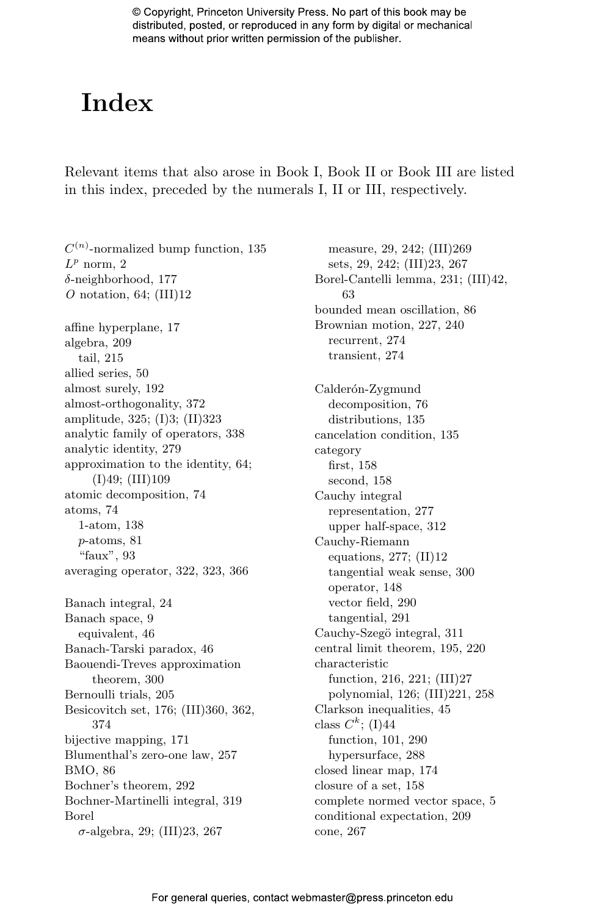## Index

Relevant items that also arose in Book I, Book II or Book III are listed in this index, preceded by the numerals I, II or III, respectively.

 $C^{(n)}$ -normalized bump function, 135  $L^p$  norm, 2 δ-neighborhood, 177 O notation, 64;  $(III)12$ affine hyperplane, 17 algebra, 209 tail, 215 allied series, 50 almost surely, 192 almost-orthogonality, 372 amplitude, 325; (I)3; (II)323 analytic family of operators, 338 analytic identity, 279 approximation to the identity, 64; (I)49; (III)109 atomic decomposition, 74 atoms, 74 1-atom, 138 p-atoms, 81 "faux", 93 averaging operator, 322, 323, 366 Banach integral, 24 Banach space, 9 equivalent, 46 Banach-Tarski paradox, 46 Baouendi-Treves approximation theorem, 300 Bernoulli trials, 205 Besicovitch set, 176; (III)360, 362, 374 bijective mapping, 171 Blumenthal's zero-one law, 257 BMO, 86 Bochner's theorem, 292 Bochner-Martinelli integral, 319 Borel  $\sigma$ -algebra, 29; (III)23, 267

measure, 29, 242; (III)269 sets, 29, 242; (III)23, 267 Borel-Cantelli lemma, 231; (III)42, 63 bounded mean oscillation, 86 Brownian motion, 227, 240 recurrent, 274 transient, 274 Calderón-Zygmund decomposition, 76 distributions, 135 cancelation condition, 135 category first, 158 second, 158 Cauchy integral representation, 277 upper half-space, 312 Cauchy-Riemann equations, 277; (II)12 tangential weak sense, 300 operator, 148 vector field, 290 tangential, 291 Cauchy-Szegö integral, 311 central limit theorem, 195, 220 characteristic function, 216, 221; (III)27 polynomial, 126; (III)221, 258 Clarkson inequalities, 45 class  $C^k$ ; (I)44 function, 101, 290 hypersurface, 288 closed linear map, 174 closure of a set, 158 complete normed vector space, 5 conditional expectation, 209 cone, 267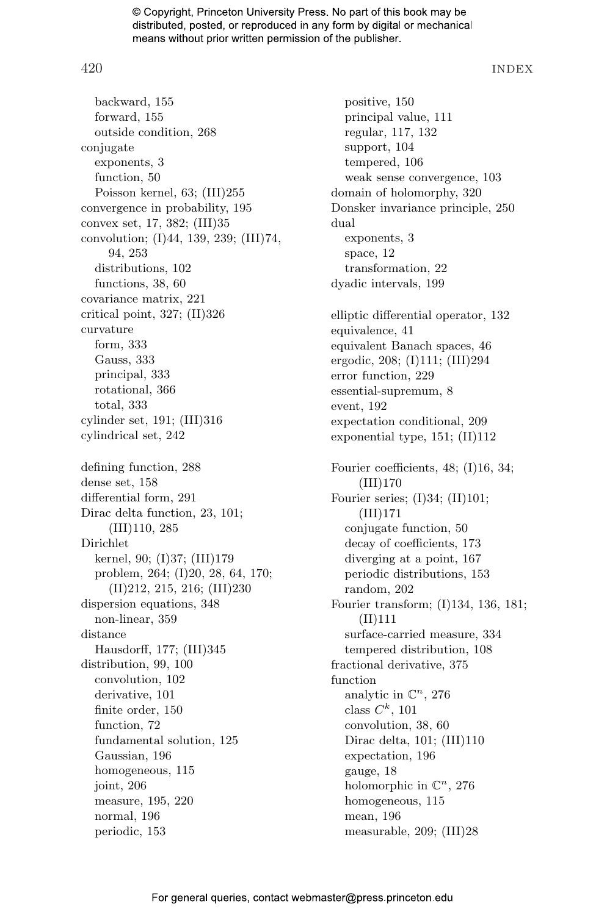420 INDEX

backward, 155 forward, 155 outside condition, 268 conjugate exponents, 3 function, 50 Poisson kernel, 63; (III)255 convergence in probability, 195 convex set, 17, 382; (III)35 convolution; (I)44, 139, 239; (III)74, 94, 253 distributions, 102 functions, 38, 60 covariance matrix, 221 critical point, 327; (II)326 curvature form, 333 Gauss, 333 principal, 333 rotational, 366 total, 333 cylinder set, 191; (III)316 cylindrical set, 242 defining function, 288 dense set, 158 differential form, 291 Dirac delta function, 23, 101; (III)110, 285 Dirichlet kernel, 90; (I)37; (III)179 problem, 264; (I)20, 28, 64, 170; (II)212, 215, 216; (III)230 dispersion equations, 348 non-linear, 359 distance Hausdorff, 177; (III)345 distribution, 99, 100 convolution, 102 derivative, 101 finite order, 150 function, 72 fundamental solution, 125 Gaussian, 196 homogeneous, 115 joint, 206 measure, 195, 220 normal, 196 periodic, 153

positive, 150 principal value, 111 regular, 117, 132 support, 104 tempered, 106 weak sense convergence, 103 domain of holomorphy, 320 Donsker invariance principle, 250 dual exponents, 3 space, 12 transformation, 22 dyadic intervals, 199 elliptic differential operator, 132 equivalence, 41 equivalent Banach spaces, 46 ergodic, 208; (I)111; (III)294 error function, 229 essential-supremum, 8 event, 192 expectation conditional, 209 exponential type, 151; (II)112 Fourier coefficients, 48; (I)16, 34; (III)170 Fourier series;  $(I)34$ ;  $(II)101$ ; (III)171 conjugate function, 50 decay of coefficients, 173 diverging at a point, 167 periodic distributions, 153 random, 202 Fourier transform; (I)134, 136, 181; (II)111 surface-carried measure, 334 tempered distribution, 108 fractional derivative, 375 function analytic in  $\mathbb{C}^n$ , 276 class  $C^k$ , 101 convolution, 38, 60 Dirac delta, 101; (III)110 expectation, 196 gauge, 18 holomorphic in  $\mathbb{C}^n$ , 276 homogeneous, 115 mean, 196 measurable, 209; (III)28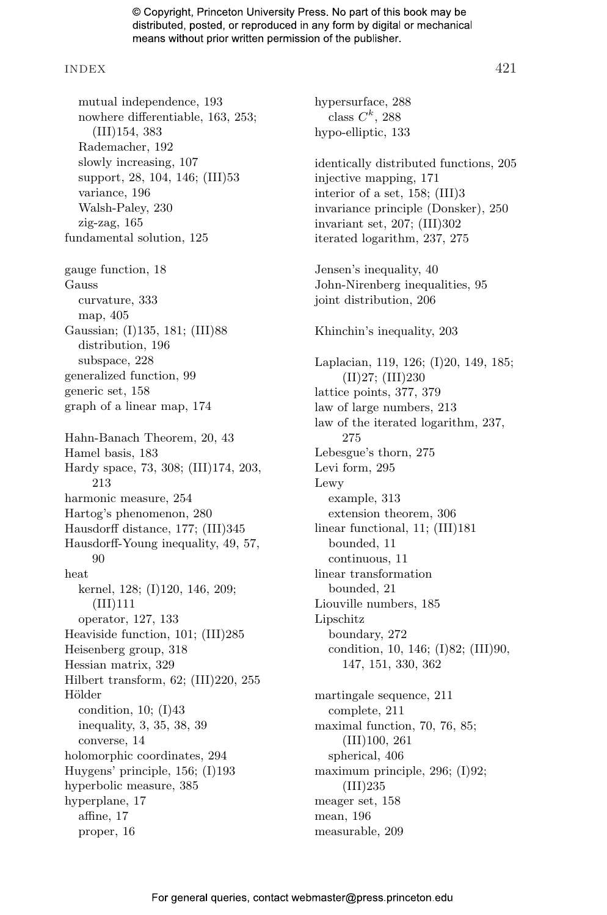#### INDEX 421

mutual independence, 193 nowhere differentiable, 163, 253; (III)154, 383 Rademacher, 192 slowly increasing, 107 support, 28, 104, 146; (III)53 variance, 196 Walsh-Paley, 230 zig-zag, 165 fundamental solution, 125 gauge function, 18 Gauss curvature, 333 map, 405 Gaussian; (I)135, 181; (III)88 distribution, 196 subspace, 228 generalized function, 99 generic set, 158 graph of a linear map, 174 Hahn-Banach Theorem, 20, 43 Hamel basis, 183 Hardy space, 73, 308; (III)174, 203, 213 harmonic measure, 254 Hartog's phenomenon, 280 Hausdorff distance, 177; (III)345 Hausdorff-Young inequality, 49, 57, 90 heat kernel, 128; (I)120, 146, 209; (III)111 operator, 127, 133 Heaviside function, 101; (III)285 Heisenberg group, 318 Hessian matrix, 329 Hilbert transform, 62; (III)220, 255 **Hölder** condition, 10; (I)43 inequality, 3, 35, 38, 39 converse, 14 holomorphic coordinates, 294 Huygens' principle, 156; (I)193 hyperbolic measure, 385 hyperplane, 17 affine, 17 proper, 16

hypersurface, 288 class  $C^k$ , 288 hypo-elliptic, 133 identically distributed functions, 205 injective mapping, 171 interior of a set, 158; (III)3 invariance principle (Donsker), 250 invariant set, 207; (III)302 iterated logarithm, 237, 275 Jensen's inequality, 40 John-Nirenberg inequalities, 95 joint distribution, 206 Khinchin's inequality, 203 Laplacian, 119, 126; (I)20, 149, 185; (II)27; (III)230 lattice points, 377, 379 law of large numbers, 213 law of the iterated logarithm, 237, 275 Lebesgue's thorn, 275 Levi form, 295 Lewy example, 313 extension theorem, 306 linear functional, 11; (III)181 bounded, 11 continuous, 11 linear transformation bounded, 21 Liouville numbers, 185 Lipschitz boundary, 272 condition, 10, 146; (I)82; (III)90, 147, 151, 330, 362 martingale sequence, 211 complete, 211 maximal function, 70, 76, 85;

For general queries, contact webmaster@press princeton edu

(III)100, 261 spherical, 406

(III)235 meager set, 158 mean, 196 measurable, 209

maximum principle, 296; (I)92;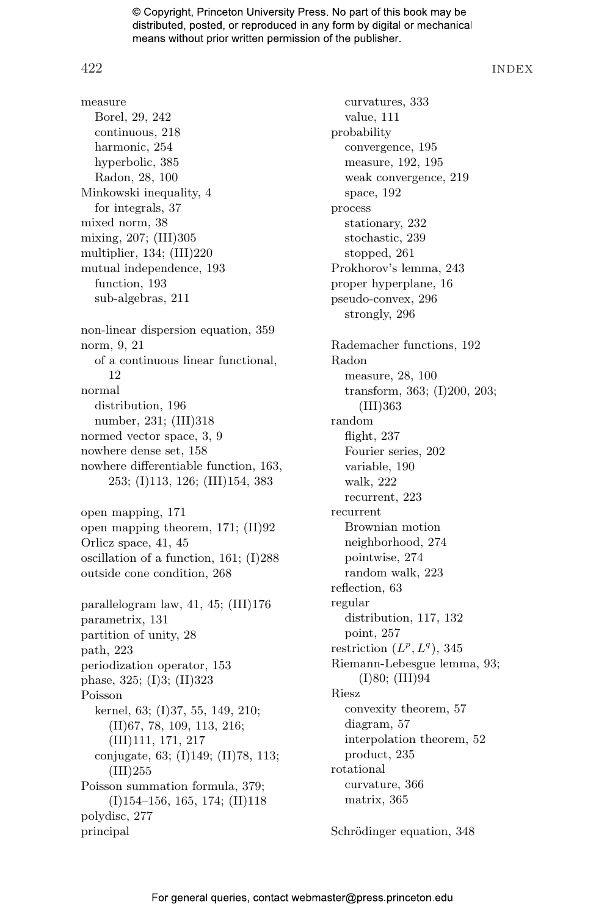422 INDEX

measure Borel, 29, 242 continuous, 218 harmonic, 254 hyperbolic, 385 Radon, 28, 100 Minkowski inequality, 4 for integrals, 37 mixed norm, 38 mixing, 207; (III)305 multiplier, 134; (III)220 mutual independence, 193 function, 193 sub-algebras, 211 non-linear dispersion equation, 359 norm, 9, 21 of a continuous linear functional, 12 normal distribution, 196 number, 231; (III)318 normed vector space, 3, 9 nowhere dense set, 158 nowhere differentiable function, 163, 253; (I)113, 126; (III)154, 383 open mapping, 171 open mapping theorem, 171; (II)92 Orlicz space, 41, 45 oscillation of a function, 161; (I)288 outside cone condition, 268 parallelogram law, 41, 45; (III)176 parametrix, 131 partition of unity, 28 path, 223 periodization operator, 153 phase, 325; (I)3; (II)323 Poisson kernel, 63; (I)37, 55, 149, 210; (II)67, 78, 109, 113, 216; (III)111, 171, 217 conjugate, 63; (I)149; (II)78, 113; (III)255 Poisson summation formula, 379; (I)154–156, 165, 174; (II)118 polydisc, 277 principal

curvatures, 333 value, 111 probability convergence, 195 measure, 192, 195 weak convergence, 219 space, 192 process stationary, 232 stochastic, 239 stopped, 261 Prokhorov's lemma, 243 proper hyperplane, 16 pseudo-convex, 296 strongly, 296 Rademacher functions, 192 Radon measure, 28, 100 transform, 363; (I)200, 203; (III)363 random flight, 237 Fourier series, 202 variable, 190 walk, 222 recurrent, 223 recurrent Brownian motion neighborhood, 274 pointwise, 274 random walk, 223 reflection, 63 regular distribution, 117, 132 point, 257 restriction  $(L^p, L^q)$ , 345 Riemann-Lebesgue lemma, 93; (I)80; (III)94 Riesz convexity theorem, 57 diagram, 57 interpolation theorem, 52 product, 235 rotational curvature, 366 matrix, 365

Schrödinger equation, 348